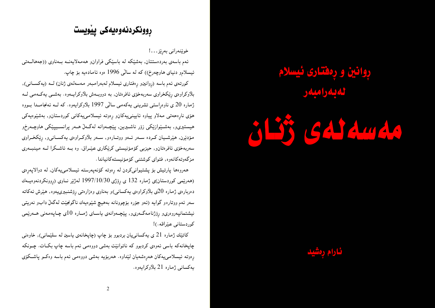# **ږوانين و ږمفتاری ئيسلام** لەبەرامبەر





## <u>ڕوونکردنهوهیهکی پیڈویست</u>

خوێنەرانى بەرێز. . . !

ئەم باسەي بەردەستتان, بەشێكە لە باسێكى فراوان٫ ھەمەلايەنــە بــەناوي ((جەھالــەتى ئیسلامږ دنیای هاوچەرخ)) که له سالْی 1996 ەوە ئامادەيە بۆ چاپ.

کورتمی ئهم باسه (روانینو رِهفتاری ئیسلام لهبهرامبهر مهسهلمی ژنان) لـه (یهکسـانی), بلاوکراوهی رِیْکخراوی سەربەخۆی ئافرەتان, بە دووبــەش بلاوکرایــەوه. بەشــی یەکــەمـی لــە ژماره 20 ی ناوەراستی تشرینی یەکەمی سالْی 1997 بلاّوکرایەوه. کە لــه ئەنجامــدا بــووه هۆی نارِهحەتی مەلاو پیاوه ئايينىيەكان٫ رەوتە ئیسلامىیەكانى كوردستان٫ بەشێوەيەكى هیستیریو, بەشـیْوازیْکی زۆر ناشـیرین, پیْچـەوانە لەگـەلْ ھــەر پرانســیپیْکی هاوچـەرخو مۆدنیرن, هینرشـیان کــرده ســهر ئــهو ووتــارهو, ســهر بلاّوکــراوهی یـهکســانـیو, ڕێکخــراوی سەربەخۆی ئافرەتانو, حیزبی كۆمۆنیستی كرێكاری عیْـراق. وە بــه ئاشـكرا لــه مینبــهری مزگەوتەكانەوە, فتواي كوشتنى كۆمۆنيستەكانياندا.

همروهها پارتیش بۆ پشتیوانیکردن له ړهوته کۆنەپەرسته ئیسلامییەکان, له دوالاپەرِەی (هەرنيمى كوردستان)ى ژمارە 132 ى ڕۆژى 1997/10/30 لەژنير نـاوى (ړوونكردنـەوەيــەك دەربارەي ژمارە 20ي بلاّوكراوەي يەكسانى)و بەناوي وەزارەتىي رِۆشنبېرىيەوە, ھێرش ئەكاتە سەر ئەم ووتارەو گوايە (ئەو جۆرە بۆچوونانە بەھيچ شێوەيەك ناگونجێت لەگەلْ دابو نەريتىي نیشتمانپەروەرىو رِۆژنامەگەرىو, پێچەوانەي ياسـاي ژمـارە 10ى چـاپەمەنى ھـەرێمى كوردستاني عيّراقه.)!

کاتێك ژماره 21 ي يەكسانىيان بردبوو بۆ چاپ (چاپخانەي ياسين لە سلێمانى), خاوەنى چاپخانهکه باسی ئەوەی کردبوو که ناتوانێت بەشی دووەمی ئەم باسە چاپ بکــات. چــونکه ړەوتە ئىسلامىيەكان ھەرەشەيان لىنداوە. ھەربۆيە بەشى دووەمى ئەم باسە وەكــو پاشــكۆى يەكسانىي ژمارە 21 بلاّوكرايەوە.

 $\overline{2}$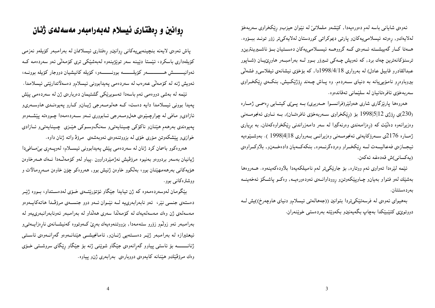ئەوەي شايانى باسە لەم دەورەيەدا, كێشەو ململانىێ لە نێوان حيزبو ڕێكخراوى سەربەخۆ لەلايەكو, رەوتە ئيسلامىيەكانو پارتى ديموكراتى كوردستان لەلايەكىتر زۆر تونـد ببــۆوە. هـمتا كـار گەييشــته ئــهوهي كــه گرووهــه ئيســلامىيەكان دەســتيان بــۆ ناشــيرينترينو ترسنۆكانەترین چەك برد, كە ئەويش چـەكى تــيرۆر بــوو لــە بەرامبــەر ھاوړێيــان (شــاپور عبدالقادرو قابیل عادل) له بهرواری 1998/4/18دا, که بۆخۆی نیشانهی ئیفلاسی و فشهانی بیروباوهږو نامۆیپییانه به دنیای ســهردهم. وه پــاش چــهند رِۆژێکــیش, بنکــهی رِێکخـراوی سەربەخۆي ئافرەتانيان لە سلێمانىي تەقاندەوە.

هەروەها پارێزگاری شاری هەولێر(فرانسـوا حــهریری) بــه پــیێی کیتــابی رەسمــی ژمــارە (230)ی رِوْژی 12|5|1998 بۆ (رِیْکخراوی ســهربهخوّی ئافرەتــان), بــه نــاوی ئـهنجومـــهنی وهزیرانموه دهانیت که (رِهزامەندی وهرنەگیرا لـه سەر دامـەزراندنـی رِینکخراوهکەتان, بـه برِیاری ژمــارە 2176ى ســەرۆكايـەتىي ئـەنجومـــەنىي وەزىيرانـــى بــەروارى 1998/4/18 ). بـەوشـــێوەيـە ئیجـازهي فهعالیــهت لــه ڕێکخــراو وهردهگرنــهوه, بنکهکــهیان دادهخــهنو, بلاّوکــراوهي (يەكسانى)ش قەدەغە ئەكەن.

ئیْمه لیْرەدا تەواوى ئەم ووتارە, بۆ جارێکىتر لەم نامىيلکەيەدا بلاّودەکەينەوە. ھــەروەھا بهشینك لهو فتواو بهیانو چـاوپیکموتن6 ږووداوانــهی ئـهودهورهیــه, وهکــو پاشــکۆ ئـهخهینــه بەردەستتان.

بههیوای ئەوەی لە فرسەتێکیتردا بتوانین ((جەھالەتی ئیسلامو دنیای ھاوچەرخ))یش لــه دووتوێێی کتینبیکدا بەچاپ بگەيەنینږ بکەوپتە بەردەستى خوپننەران.

## روانین و رهفتاری ئیسلام لهبهرامبهر مهسهلهی ژنان

یاش ئەوەي لايەنە بنچينەيپىيەكانى روانينو رەفتارى ئيسلاممان لە بەرامبەر كۆيلەو نەزمى كۆيلەدارى باسكرد، ئېنستا دېينە سەر توپژېينەوە لەبەشپكى ترى كۆمەلى ئەو سەردەمە كـە ئەوانيـــــــش هـــــــــــــەر كۆيلــــــــه بوونـــــــــهو، كۆيله كانيشيان دووجار كۆيله بوونــه، ئەويش ژنە لە كۆمەلىّى عەرەب لە سەردەمىي يەيدابوونى ئېسلامو دەسەلاتداريّتى ئېسلامدا . ئینمه له بهشی دووهمی ئهم باسهدا تهسویریکی گشتیمان دهربارهی ژن له سهردهمی پیش پەيدا بوونى ئيسلامدا دايە دەست، كـه هەلومــەرجى ژيـان وكـارو پەيوەنـدى هاوســەرىو ئازادېو مافي له چوارچـێوهي هەلومــهرجي ئــابووري ئــهو ســهردهمهدا چـووهته پێشــهوهو يەيوەندى بەرھەم ھێنانو ناكۆكى چـينايەتىيو سەنگوسـوكى ھێـزى چـينايەتىيو ئــازادى خوازی و پیشکهوتن موری خوی له بزووتنهوهی ئهوبهشهی پمرؤفرواته ژنان داوه.

هەروەكوو باسمان كرد ژنان له سەردەمى پێش پەيدابوونى ئيســلام، لەوپــەرى بىێصـافى١ ژیانیان بهسهر بردووهو بهنیوه مرۆڤیش نهژمیردراوون .پیاو لهو کۆمەڭدا نـهك هـمرخاوەن هۆپەكانى بەرھەمھێنان بوو، بەلكوو خاوەن ژنيش بوو, ھەروەكو چۆن خاوەن مــەرومالات و ووشترهکانی بوو.

بینگومان لەوسەردەمەوە كە ژن تياپدا جیکاو ئۆتۆریتـمى خـۆى لەدەسـتداو، بـووە ژیبـر دهستهی جنسی نیر، ئەو نابەرابەرییه لــه نیْــوان ئــهو دوو جنســـهی مرۆڤـدا هاتـهکاپــهوهو مەسەلەي ژن وەك مەسەلەيەك لە كۆمەلكا سەرى ھەلكاو لە بەرامبەر ئەونابەرانبەرىيەو لە بەرامبەر ئەو زولىمو زۆرو ستەمەدا, بزووتنەوەيەك بەرى كەوتووە كەنيشـانەي نارەزايــەتىىو ئیعتیرازه له بەرامبەر ژنیر دەستەيى ژنبانو, ئامانجیشى هیننانـەوەو گەرانـەوەي ئاسـتى ژنانـــــــــه بۆ ئاستى پياوو گەرانەوەي جێگاو شوێنى ژنه بۆ جێگاو رێگاى سروشــتى خــۆى وەك مرۆڤێكو هێنانه كايەوەي دووبارەي بەرابەرى ژن وپياوە.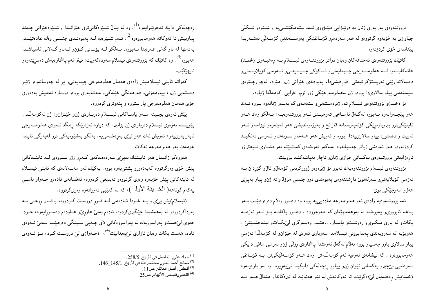بزووتنهوهی بهرابهری ژنان به درپیـژایی مینـژووی ئـهم ستهمکینشــی4 , شــیدوو شــکلی جیاوازی به خۆیەوه گرتووەو له هەر سەردەم٫ قۆنــاغینکی پەرەســەندنى كۆمــەلْمى بەشــەرىيدا يينناسەي خۆي كردۆتەوە.

کاتیْك بزووتنەوەی ئەحنافەكان وەیان دواتر بزووتنــەوەی ئیســلام بــه رِەهبــەری (محمــد) هاتەكايــەوه لــە ھەلومـــەرجى چــينايەتىو نــاكۆكى چــينايەتىو نــەزمى كۆيلايــەتىو دەسەلاتداریتی ئەريستۆكراتيەتی قورەيشىدا، پەيوەندى خیزانی ژنو میرد، لەچوارچىيوەی سیستهمی پیاو سالاریدا بووەو ژن لەھەلومەرجیْکی زۆر نزم<code>و خراپی کۆمەللاا ژیاوە.</code>

بۆ (محمد)و بزووتنـەوەي ئـيسلام ئـەم ژێردەستـەيـىو ستـەمـەي كـە بـەسـەر ژنانـەوە بــووە نــەك هەر پێچـەوانەوە نــەبووە لەگــەلٌ ئامــانجى تەوحيــدى ئــەو بزووتنـەوەيــە، بــەلْكو وەك هــەر ئاپنیٽکيترو بیروباوەریکی کۆنەپەرستانە قازانج و بەرژەوەندیشی هەر لەونەزمو نیزامەو ئــەو نهریت و دهستوره پیاو سالارییهدا بووه و ئهویش ههر هـهمان سـونهتو نـهزمـی تـهئکیــد کردۆتەوەو هەر ئەوەشى زياتر چەسپاندوە ,مەگەر ئەوەندەى كەوتبێتە بەر فشــارى ئــيعترازو نارِهزايەتى بزووتنەوەي يەكسانى خوازى ژنانو ناچار بەپاشەكشە بووبێت.

بزووتنەوەي ئېسلام بزووتنەوەيەك نەبوو بۆ ژێرەوەو ژووركردنى كۆمەلْ(و ئالْ(و گۆردان بــە نەزمىي كۆيلايەتىيو سەرلەنوي دارشتنەوەي پەيوەندى دوو جنسىي مرۆۋ واتە ژنو پياو بەپىێى هەل ومەرجێكى نوێ.

ئهم بزووتنهوهیه زادهی ئهو ههلوممرجه ماددیبییه بوو، وه دهبوو وهلام دهرهوهبیّـت بــهو بناغه ئابووري وپهيوهنده له بەرهەمهيّنان كه مەوجووده . دهبوو پاكانــه بــۆ ئــهو نەزمــه بکاتو له باری فیکریو رِهوشــتو یاســاو . . هتــد, وهبــهرگری لیٌبکــاتو بینـهخشــیێنی . هەربۆيە لە سەروبەندى پەيدابوونى ئيسلامدا سەربارى ئەوەي لە خێزان٫ لە كۆمەللا نەزمى پیاو سالاری باوو چەسپاو بوو، بەلاّم لەگەلْ ئەوەشدا پاشماوەی ڕۆڵى ژن؋و نەزمىي مافىي دايكى هەرمابووەوە , كە نيشانەي ئەوەيە ئەم كۆمەڭمش وەك ھـەر كۆمـەڭێكىتر, بــە قۆنــاغىي سەرەتايىي بېخچينو يەكسانىي نێوان ژنو پياوو رەچەلەكى دايكيدا تىێپەريوە, وە لەو بارەيــەوە (محمد)يش رِهخنهيان ليٌدهگريّت. تا ئـهوكاتـهش لـه نـيْو هـهنديّك لـه تيرهكاندا, مـندالٌ هــهر بــه

رِهچەلّەكى دايك ئەخوێنرايەوە<sup>(1)</sup>. وە لە پــالّ شــێوەكانىترى خێزانــدا , شــێوەخێزانى چــەند پیاوییش تا ئەوكاتە ھەرمابووەوە<sup>(2</sup>). ئــەم شــێوەیە لــە پەیوەنــدی جنســی وەك عـادەتێــك, بەتەنھا لە ناو گەلى عەرەبدا نـەبووه, بـەلكو لــە يۆنـانى كـۆنو لــەناو گــەلانى ئاسياشــدا همبووه<sup>(3</sup>). وه کاتێك که بزووتنـهوهى ئـيسلام سـهردهکموێت، ئـيتر ئـهم پـاشماوهيـهش دهسڕێتـهوهو نايھێڵێت.

کەواتە ئاينى ئيسلاميش زادەى ھەمان ھەلومەرجى چينايەتىږ پړ لە چەوسانەوەو ژێـر دەستەيى ژنږ، پياومەزنىيو فەرھەنگى خێڵەكىږ عەشايەرى بووەو دووبارە ئەميش بەدەورى خۆی هەمان هەلومەرجى پاراستووه و پتەوترى كردووه.

پینش ئەوەي بچـینـه ســەر یاســاکانى ئیســلام دەربــارەي ژن٥و خینـزان٥و ژن لـهکۆمـەلـْـدا, پینویسته نهزدری ئیسلام دهربارهی ژن بزانین. که دیاره نهزدرپیکه رهنگدانــهوهی ههلومـــهرجی نابەرابەرىيەو، ئەويش نەك ھەر لىږى بەرەخنەنىيە, بەلكو بەشێوەيەكى ترو لەبەرگى ئايندا خزمەت بەو ھەلومەرجە ئەكات.

همروهکو زانیمان همر ئایینێك بەپیێی سەردەمەكەی كــهمو زۆر ســوودی لــه ئاینـــەكانى پینش خۆی وەرگرتووە كەبەدەورو پشتىىيەوە بووە. يەكێك لەو مەسەلانەی كە ئاينى ئيســلام له ئاينەكانى پێش خۆيەوە وەرى گرتووەو تەبليغى كردووە، ئەفسانەى ئادەمو حـەواو باســى يەكەم گوناھە( الْمَخ بِنْـة الأولـ )، كە لە كتيْبـى تەوراتـەوە وەرىگرتـووە.

(ئیسلام)یش پیّی وایـه خـودا ئــادهمی لــه قــوړ دروسـت کـردووه، پاشــان ړوحــی بــه بهرداکردووهو له بهههشتدا جێگیریکردوه. ئادهم بهبێ هاورِێو هـاودهم دهسـورِایـهوه، خــودا خەوي لېۆخستو پەراسوويەك لە پەراسووەكانى لاي چـەپى سـينگى دەرهيننـا بــەبىيْ ئــەوەي ئادەم ھەست بكات وەيان ئازارى ل<sub>ى</sub>نپەيدابينت<sup>(4)</sup>، (حــەوا)ى لىن دروســت كــرد، بــۆ ئــەوەى

<sup>(1)</sup> جواد علي, المفصل في تأريخ, 258/5.

جي رسمي في سريع ( 145/1 ـ 146 ـ 146).<br>(2) صالح أحمد العلي, محاضرات في تأريخ, 145/1 ـ 146.<br>(3) أنجلس, أصل العائلة, ص25.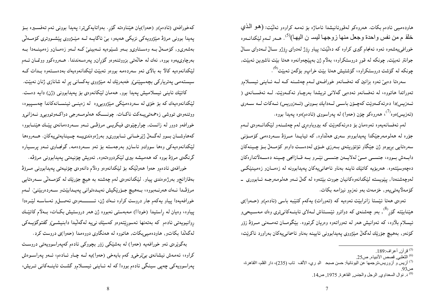هاودەمىيى ئادەم بكات. ھەروەكو لەقورئانىشدا ئاماژە بۆ ئەمە كراوەو ئەلێت: (ھو الْمَـٰدِي خلق م من نفس واحدة وجعل منها زوجها ليسـ ن اليهـا)<sup>(5)</sup>. هــــدر لــــم ليــُكدانــــدوه خورافي پیهشهوه ئهوه ئهنجام گیری کراوه که دهٽينت: پياو روّژ لهدوای روّژو ســالٌ لــهدوای ســالٌ جوانتر ئەبپنت, چونکە لە قور دروستکراوە، بەلام ژن بەيپنچەوانەوە ھەتا بېنت ناشیرىين ئەبپنت, چونکه له گۆشت دروستکراوه، گۆشتیش هەتا بیّت خراپو بۆگەن ئەبیّت<sup>0)</sup>.

سەرەتا دەبىٰ ئەوە بزانين كە ئەفسانەو خوراڧەي لــەم چەشــنە كــە لــە ئــايـنى ئيســلامو تەوراتدا ھاتووە، لە ئەفسانەو ئەدەبى گەلانى تريشدا بەرچـاو ئەكـەوپت. لــە ئەفســانەي ( ئــەزیس)دا دەرئەكــەوێت كەچـۆن باســى لــەدابك بــوونى (ئــەزوریس) ئــەكات لــە ســەرى (ئەزيس)ەوە<sup>(7)</sup>، ھەروەكو چۆن (حەوا) لە پەراسووى (ئادەم)ەوە پەيدا بووە.

لەم ئەفسانەيەوە ئەوەمان بۆ دەرئەكەوپت كە بېروباوەرى لەم چەشىنەو لێكدانىەوەي لىەم جۆرە لە ھەلومەرجێکدا يەيدابووەو سەرى ھەلْداوە, کە تياپـدا مــرۆۋ ســەردەمى کۆمــۆنى سەرەتايى بريوەو ژن جێگاو ئۆتۆريتەي بــەرزى خــۆى لەدەســت داوەو كۆمــەلْ بــۆ چــينەكان دابــهش بــووه، جنســـي مـــيّ لهلايــهن جنســـي نَيْــرو بــه قــازانجي چــينـه دهســهلاتدارهكان دەچەوسىيىتەوە. ھەربۆيە كاتېك ئاينە بەناو ئاسمانىمپيەكان يەيدابوونە لە زەمــان٫ زەمـيـنىيْكــى لەوچەشنەدا, يېنويستە لېكدانەوەكانيان جووت بېتتەوە لە گەلٌ ئــەو ھەلومەرجـە ئــابوورى ــ كۆمەلايەتىيەو, خزمەت بەو نەزمو نيزامە بكات.

ئەوەي ھەتا ئېيستا زانرابېيت ئەوەپە كە (تەورات) يەكەم كتيببە باسى (ئادەم)و (حــەوا)ى هیننابیّته گۆر<sup>89</sup>, بەو چەشنەی کە دواترو ئی٘ســتاش لــەلای ئاينــەکانىترى وەك مـەســيحىو ئیسلام بلاّوه، که ئەوانیش هەر لە تەوراتەوە وەریان گرتووه. بی٘گومــان تەمــەنىي مــرۆﭬ زۆر كۆنەو, بەھيچ جۆرپّك لەگەلْ ميْزووى پەيدابوونى ئايينە بەناو ئاسمانىيەكان بەراورد ناكريّت،

کەخورافەی (ئادەم)و (حەوا)يان هێناوەتە گۆڕ. بەواتايەکىتر: پەيدا بوونى ئەم تەفســيرە بــۆ یەیدا بوونی مرۆۋ میژوویەکی نزیکی هەیەو، بیْ ناگاپــه لــه میْــژووی ییْشــووتری کۆمــەلْی بهشەرىو, كۆمـەلْ بــه وەسـتاوىو بــهو شــێوەيه ئــهبينـێ كــه لــهو زەمـانو زەمـینــهدا بــه بەرچاوىيەوه بووه, نەك لە حالەتى بزووتنەوەو گۆران ويەرەسەندندا. ھــەروەكوو ووتمــان ئــەم لیکدانموهیه کالاً به بالای ئەو سەردەمە بووەو ئەبینت لیکدانەوەپەك بەدەستەوە بىدات كــە سیستهمی پهتریارکی بچهسپیننی و خهبهریک له میزووی پهکسانی پر له شانازی ژنان نهبیت. كاتيْك ئاينىي يسلاميش پەيدا بوو, ھەمان ليْكانەوەي بۆ پەيدابوونى (ژن) دايە دەست. لینکدانهوهیهك كه بۆ خۆی له سەردەمینکی میژوویپروه له زەپنسی ئینسسانهکاندا چەسىپيوه، ووتنەوەي تووشى زەجمەتىيىەكت ناكىات. چونىسكە ھەلومىەرجى دواكىەوتوويىيو نىەزانىيو خورافهو دوور له زانست, چوارچێوەي فیکریــی مرۆڤــی ئــهو ســهردەمانهي پێــك هێنــابوو، كەھاوشــان بــوو لەگــەلْ ژێرخــانى ئــابوورىو بەرژەوەندىيــە چــينايەتىيەكان. ھــەروەھا لینکدانەوەيەکى وەھا سووكو ئاسان٫ بەرجەستە بۆ ئەو سـەردەمە, گونجـاوى ئــەو يرســيارە گرنگەی مرۆۋ بووه کە ھەمىيشە بىرى لێکردووەتەوە, ئەويش چۆنيەتى يەيدابوونى مرۆۋە.

خورافەي ئادەم٫ حەوا ھەولێکە بۆ لێکدانەوەو وەلاْم دانەوەي چۆنيەتى يەيدابوونى مــرۆۋ بەقازانجرو بەرژەوەندى يياو. لێكدانەوەي لەم چەشنە بە ھيچ جۆرێك لە كۆمــەڵى ســەرەتايىي مرۆڤـدا نــهك هەرنــەبووه، بــەهيىچ جــۆرێكيش نەيــدەتوانى پەيــدابێتو ســەردەربێنێ. لــەم خورافهیهدا پیاو یهکهم جار دروست کراوه نـهك ژن، ئــــــــــهوهی ئـهصــلو ئـهساســه لێــرهدا پیاوه، وەیان له راستیدا (خودا!) مەبەستىي نەبووە ژن ھەر دروستیش بكــات، بــەلام كاتێــك روانيويەتى ئادەم كە بەتەنھا ئەسورىتتەوەو كەسپىك نىيە لەگەلىدا دابنىشىنى گفتوگۆيـەكى لهگهلّدا بکاتو, هاودهمیمیبکات, هاتووه له ههنگاوی دووهمدا (حهوا)ی دروست کرد.

بهگویرهی ئهو خورافهیه (حهوا) له بهشیکی زوّر بچووکی ئادهم کهپهراسوویهتی دروست کراوه، ئەمەش نیشانەی بېێرخېږ کەم بايەخى (حەوا)په لـه چـاو ئـادەم، ئـەو پەراسـوەش پەراسوويەكى چەپى سينگى ئادەم بووە! كە لە ئــاينى ئيســلامو گشــت ئاينــەكانى تــريش،

<sup>&</sup>lt;sup>(5)</sup> قرآن, أعراف:189.

<sup>&</sup>lt;sup>(6)</sup> الثعلبي. قصص الأنبياء. ص25.

<sup>&</sup>lt;sup>(7)</sup> أزيسٌ و أزوريس،ترجمُها عن اليونانية: حسن صبح الد ري، الألف تاب (235)، دار القلم، االقاهرة،

<sup>.&</sup>lt;br><sup>(8)</sup> د. نوال السعداوي, الرجل والجنس, القاهرة, 1975, ص14.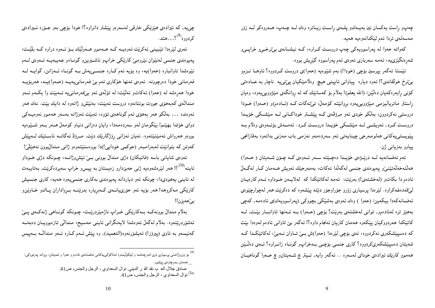چەپو راست يەكسان نين بەيــەكو پلــەي راســت زيــاترە وەك لــە چــەپ، هــەروەكو لــە زۆر مەسەلەي تردا ئەم لێكدانەوەيە ھەيە.

کهواته حهوا له پهراسوویهکی چهپ دروست کـراوه، کــه نیشــانهی بیێزخــیو خراپــیو شەرەنگێزىيە، ئەمە سەربارى ئەوەي ئەم پەراسووە گێرِيش بووە.

ئیستا ئەگەر بیرسین بۆچی (خودا!) بەم شیْوەیە (حەوا)ی دروست کـردووە؟ ئاوھــا نــزمو بېنزخ خولقاندې؟! ئەوه دياره پياوانى ئايينى هيچ وەلامێکيان پېٽىيە ناچار بە عــادەتى کۆنبی رابەرەكەيان دەلٽين: (الله يعلم)! بەلاّم بۆ كەسانێك كە لە روانگەي مىێژوويىيەوە، وەيان راستتر ماتریالیزمی میزوویه یهوه بروانیته کومهل، تی تهگات کـه (ئـادهم)و (حـهوا) خـودا دروستبی نهکردوون، بەلکو خودی ئەو مرۆڧەی کــه پێشــتر خوداکــانـی لــه مێشــکـی خۆیــدا دروست کـرد, ئـەويشــي لــه مـێشــکي خۆپــدا دروســت کــرد . ئـهمـــهش بۆئـــهوهي وەلاّم بــه يێويستىيەكانى ھەلومەرجى چيناپەتى ئەو سەردەمەو نەزمىي باب مەزنى بداتەوە بەقازانجى پیاوو بەزيانى ژن.

ئهم ئەفسانەيە لـه درێـژەي خۆيـدا دەچـێتە سـەر ئــەوەي كـه چـۆن شــەيتان ( حــەوا) هەلتەخەلەتتىنى ويەيوەندى جنسى لەگەللا ئەكات، بەمەرجيْك ئەويش ھـەمان كـار لەگـەلْ ئادهم دا بکاتو (لەخشتەی!) بەرپّت، ئەمە لەکاتپکدا کە لەلاپەن خـوداوه ئــەم کارەيـان لمینقهدهغهکراوه. لیمردا پرسیاری زۆرو جۆراوجۆر دیته پیشهوه که دهکریت ههر لهچوارچیوهی ئەفسانەكەدا بيكەين: (حەوا ) وەك ئەوەي بەشێكى بچووكى (پەراسوويەك)ى ئادەمە, كەچى بههینز تره لهئادهمو, توانی لهخشتهی بهریت؟ بۆچی (حـهوا) بــه تــهنها تاوانبــار بیّــت, لــه کاتیکدا هەردووکیان پیکەوه هەمان کاریان ئەنجام داوە؟! ئەگەر بیّ تاوانی ئادەم لەوەدا بیّت که دهسپینشکهری نهکردووه، ئەی بۆچی لینرهدا (حەوا)ش بــیْ تــاوان نـــەبـیْ، لـەکاتینکــدا کــه شهیتان دهسپینشکهریکردووه؟ کاری جنسبی بۆچـی بـهخراپو گونـاه زانــراوه؟ ئــهی دهٽـینن ههموو کارټك ئيرادەي خوداي لەسەرە .. ئەگەر وايە, ئـيتر چ شــەيتان٫ چ حــەوا گوناهيــان

چی،یه که ئیرادهی هینزیکی خارقی لهسهرهو پیشتر دانراوه؟! خودا بۆچی بهو جــۆره ئــیرادهی کردووه<sup>(9)</sup>؟…هتد.

ئەوى ليْرەدا تَيْبِينى ئەكريْت ئەوەيــە كــە ھــەمـوو ھــەولْيْك بــۆ ئــەوە دراوە كــە بليْنــت: پەيوەندى جنسى لەنێوان نێرومێ كارێكى خراپو ناشىيرىينو گونـاەو عەيبەيــە ئــەوەي لــەم نیوهشدا تاوانباره (حهوا)یه، وه بۆیه ئەم کباره جنسمی یهش بـه گونـاه ئــهزانن, گواپــه لــه فەرمانى خودا دەرچوونە. ئەوەي تەنھا ھۆكارى ئەم بى فەرمانىيەيــە (حــەوا)يــە، ھەربۆيــە خودا هەرەشە لە (حەوا) ئەكاتو ئەلێت: لە تۆلەي ئەو بېۆەرمانىيە ئەبێت وا بكـەم ئـەو مندالهی کهبههوی جووت بونتانهوه دروست ئهبینت، بهئینشو ژانهوه له دایك بیت. نهك ههر ئەوەندە ... بەلگو ھەر بەھۆى ئەم گوناھەي تۆوە، ئەبێت ئەوژانە بەسەر ھەموو نەوەيــەكى دوای خۆتدا بهیننم! بینگومان لهو سهردهمهدا، وایان دهزانی دنیاو کۆمەلٌ هــهر بــهو شــیدوهیه بووەو ھەرواش ئەمێنێتەوە. نەيان ئەزانى ڕۆژگارێك دێت, مــرۆۋ ئەگاتــە ئاســتێك لــەپێش کەوتن کە بتوانێت لەبەرامبەر (حوکمی خودایی!)دا بووەستێتەوەو ژانی مىندالٽبوون نەھێلێ! ئەوەي شايانى باسە (فاتيكان) دژى مندالْ بوونى بىيْ ئېش رژانــه، چـونكه دژى خـوداو ئابنە<sup>(10)</sup>!! هەر لی٘رەشەوەیە ژن<sub>ی</sub> حەیزدارو زەیستان بە پیسو خراپ سەیردەكری٘ت, بەتایبەت له ئاينى يەھودىدا، چونكە ئەو دياردانە پەيوەندى بەكارى جنسىيەوە ھەيە، كارى جنسيش کارێکی مهکروهه! همر بۆیه ئەو حۆرىيانــهى کــهبرياره بدرێنـــه بــرواداران پــاكو خــاوێنو بي حەيزن!!

بەلام مندال بوونەكـه بــەكارێكى خـراپ ناژمێردرێـت، چـونكە گونـاهى ژنەكــەي پــێ ئەشۆردرېتتەوە. بەلام لەگەلْ ئەوەشدا لايەنگرانىي ئاينىي مەسىج، مىندالْيى تازەبوويــان دەبەنــە كەنپسەو بە ئاوي (پيرۆز!) ئەيشۆرنەوە(التعميد), وە پێش ئـەم كـارە ئــەو مىنداڭـە بــەپيس

<sup>&</sup>lt;sup>(9)</sup> بۆ ووروژاندنى پرسيارى ترى لەم چەشنە و لێکۆلینەوە لەناكۆكىيەكانى ئەفسانەي ئادەم و حەوا و شەيتان، بږوانە پەرتووكى: \_ هەمان سەرچاوەي يېشىوو.

صادق جلال الع م، نقد الف ر الديني ِ نوال السعداوي ، الرجل والجنس، ص41. <sup>(10)</sup> نوال السعداوي ، الرجل والجنس، ص41.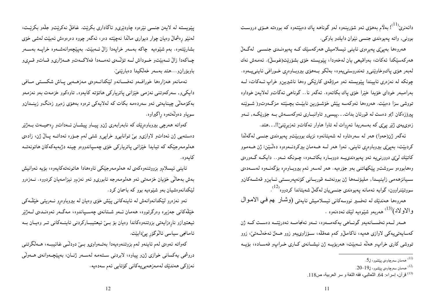دائەنرى<sup>‹(1)</sup>؛ بەلاّم بەھۆى ئەو شۆرىينەوە لەو گوناھە پاك دەبێتەوە كە بووەتە ھــۆى دروســت بووني, واته پهيوهندي جنسي نێوان دايكو باوكي.

هەروەها بەپئی پەيرەوي ئاينى ئيسلاميش هەركەسێك كـە پەيوەنـدى جنســى لەگـەلْ هەركەسپكدا ئەكات، بەواقيعى يان لەخەودا، ييويستە خۆي بشۆرپت(غوسلٌ). ئەمەش نەك لەبەر ھۆي پاكوخاوێنىي تەندروستىيەوە، بەلكو بەھۆي بېروباوەرى خىورافى ئاينى يــەوە. چونکه له نهزهری ئاییندا پیْویسته ئهو مرۆڨەی کارێکی وهها ناشیریینو خراپ ئــهکات، لــه بەرامبەر خوداي خۆيدا خێرا خۆي پاك بكاتەوه. ئەگەر نا.. گوناهىي ئەگاتو لەلايەن خوداوە تووشی سزا دەبینت. هەروەها ئەوكەسە پینش خۆشــۆرىين نابینــت بچــینته مزگــەوتور( شــویینـه پیرۆزەكان !)و دەست لە قورئان بدات. . .پیسىیو تاوانبــارى ئـەوكەســـەش بــە جۆرێكــە, ئــەو زەوىيەى ژێر پېێى كە بەسەريدا ئەروات لە تاوا ھاوار ئەكاتو ئەزىرپێنىێا!. . .ھتد.

ئەگەر ژن(حەوا) ھەر لە سەرەتاوە لە شەيتانەوە نزيك بووبێتو پەيوەندى جنسى لەگەلْدا کردبینت، بەپیێی بیروباوەری ئاينبی, ئەوا ہەر لــه ھــەمان بیرکردنــەوەوە دەڭـینن: ژن ھــەمـوو کاتێك لمێی دوورنېيه ئەو يەيوەندېيــه دووبــارە بكاتــەوە، چــونكە ئــەو.. دايكــه گــەورەی .<br>وه ابووهو سروشتو ییکهاتن<sub>ی</sub> بهو جۆرەیە. هەر لەسەر ئەم بیروبـاوەرە بۆگەنــەوە لەســەدەی سىيانزهەمى زاينيىدا, مليۆنىەھا ژن بوونەتــە قوربــانى كۆنەيەرســتى ئــاين٫ قەشــەكان٫ سووتێنراوون، گوایه ئەمانە پەيوەندى جنسىيان لەگەلٌ شەيتاندا كردووە<sup>(12)</sup>.

هەروەها هەندێك لە تەفسىر نووسەكانى ئىسلامىش ئايەتى (وشىار ھم فىي الامىوال والاولاد)<sup>(13)</sup> هەربەو شێوەپە لێك ئەدەنەوە .

هـمر لـمم ئەفســانەيەو گونــاهى يەكەمـــەوە، ئــەو ئەنجامـــە ئەدرێتـــە دەســت كــە ژن كەساپەتىيەكى لاوازى ھەيە، ناكاملار كەم عەقلە، سـۆزاوىيەو زوو ھــەلْ ئەخەلْــەتىێ، زوو تووشی کاری خراپو هەلّە ئـــەبیّت، هەربۆیـــه ژن نیشــانەی کــاری خــراپو فەســادە، بۆیـــه

پینویسته له لایهن جنسی نیرهوه چاودیریو ئاگاداری بکریت. غافلْ نهکریتو جلّهو بکریّـت، لەنێو رەشمالٌ وەپان چوار دىيوارى ماللّدا نەچێتە دەر، ئەگەر چووە دەرەوەش ئەبێت لەشى خۆى بشارتیتهوه. بهم شیّوهیه چاکه بهسهر خراپهدا زالٌ ئــهبیّت. بهپیّچهوانهشــهوه خراپــه بهســهر چـاكەدا زالْ ئــەبيّتو خــوداش لـــە تۆلّـــەي ئـەمـــەدا فـەلاكـــەتو هـــەژارىو قــاتو قــرىو باوبۆران و…هتد بەسەر خەلكيدا دەبارتينين.

ئەمانەو ھەزارەھا خورافىەو ئەفسـانەو لێكدانــەوەي مەزھــەبى پــاش شكســتى مــافى دايكىو, سەركەوتنى نەزمى خێزانى پاترياركى ھاتۆتە كايەوە, تاوەكوو خزمەت بەو نەزمەو بەكۆمەلىّى چينايەتىي ئەو سەردەمە بكات كە لەلايەكىي ترەوە بەھۆى زەبرو زەنگو زېنىدان و سوپاو دەولەتەوە رِاگیراوە.

کەواتە ھەرچى بيروباوەڕێك كە نابەرابەرى ژنiو پيـاو پيشـان ئــەداتو ڕەسميــەت بــەژێر دهستهیی ژن ئهداتو لاوازیو بیّ توانایپو خراپپو شتبی لهم جــۆره ئـهداتــه پــالٌ ژن، زادهی هەلومەرجێکە کە تيايدا خێزانى ياتريارکى خۆى چەسياندووەو چينە دژبەيەکەکان ھاتونەتــە كايەرە.

ئاينى ئيسلام٫و بزووتنەوەكەي لە ھەلومەرجێكى ئاوەھادا ھاتونەتەكايەوە، بۆيە ئەوانيش بەش بەحالى خۆيان خزمەتى ئەو ھەلومەرجە ئابورىو ئەو نەزمو نيزامەيان كردووە. نــەزەرو لینکدانهوهشیان بهو شینوهیه بوو که باسمان کرد.

ئەو نەزەرو لێکدانەوانەش لە ئاينەكانى پێش خۆى وەيان لە بىروباوەرو نــەرىتى خێڵــەكى خێڵەكانىي جەزىرە وەرگرتووە، ھەمان ئــەو شــتانەي چەســپاندوە، مـەگــەر ئـەوەنــدەي لــەژێر ئیعتیرازو نارِهزایهتی بزوتنهوهکاندا وهیان بۆ بـی ئیعتیبـارکردنی ئاینــهکانی تــر وهیـان بــه ئامانجى سياسى ئالوگۆر پېدابينت.

كەواتە ئەوەي لەم ئاينەو لەم بزوتنەوەيەدا بەتـەواوىو بــيّ دودڵـى غائيبــە، ھــەلْگرتنى دروشمي يەكسانى خوازى ژنو پياوە، لابردنى سىتەمە لەسـەر ژنـان، بەپێچـەوانەي ھــەولْي نەزۆكى ھەندێك لەمەزھەبىيەكانى كۆتايى ئەم سەدەيە.

<sup>&</sup>lt;sup>(11)</sup> هەمان سەرچاوەي پێشوو، ل5.

<sup>.20-</sup> مەمان سەرچاوەي پێشوو، ل99- $^{(12)}$ 

<sup>&</sup>lt;sup>(13)</sup> قرآن، إسراء: 64. الثعالبي، فقه اللغة و سر العربية، ص118.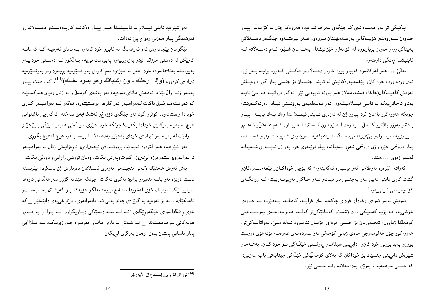يەكێكى تر لەو مەسەلانەي كە جێگەي سەرنجە ئەوەيە، ھەروەكو چۆن لە كۆمەلْدا پيـاو خــاوەن ســـەروەتو هۆپـــەکانـي بـەرهـــەمـهيێنـان بــووەو, هـــەر لـێرەشـــەوە جێگــەو دەســـەلاتـي پەيداكردووەو خاوەن برياربووە لە كۆمەلىر خيزانيشدا، بەھــەمان شــيْوە ئــەم دەســەلاتـە لــە ئاينيشدا رەنگى داوەتەوە.

بەلىّ...! هەر لەوكاتەوە كەيياو بووە خاوەن دەسەلاتو شكستى گەورە برايــه بــەر ژن, ئيتر ورده ورده خوداكانو پيغهمبمورهكانيش له ئايندا جنسيان بۆ جنسى پياو گۆرا، وەپاش ئەوەش كاھينەكان(خاخا، قەشە،مەلا) ھەر بوونە تايبەتى نێر. ئەگەر بروانينە ھەرسىّ ئاينە بەناو ئاسمانى يەكە بە ئاينى ئيسلاميشەوە, ئەم مەسەلەيەي بەرۆشىنى تيـادا دەرئەكـەويّت، چونکه همروهکوو باسمان کرد پیاوو ژن له نهزهری ئــایـنی ئیســلامدا وهك یــهك نبییــه، پیــاو باشترو بەرزو بالاترو كــامـلْ تــره وەك لـــه ژن، ژن كــهمتره لـــه ييــاو, كــهم عـــهقلْ(و نــهفامو سۆزاوىيە، ترسنۆكو بېێھێزە، بېێدەسەلاتە، زەعيفەيە سەرچاوەي شەرو ئاشـوبو فەسـادە، پیاو دروشمی خیرو, ژن دروشمی شهرو شهیتانه، پیاو نویننهری خودایهو ژن نوینسهری شــهیتانه لەسەر زەوي ....ھتد.

کەواتە گیزەوە بەوەلامىي ئەو پرسيارە ئەگەينەوە: کە بۆچى خوداکـان٫ پیێغەمبـەرەکان٫ گشت کاري ئاينبي ئەبې سەر بەجنسى نێر بێتو ئەو حـاکم٫و بەرێوبـەربێت، لــە روانگــەي كۆنەيەرستى ئاينىيەوە؟

ئەويش لەبەر ئەوەي (خودا) خوداي چاكەيە نەك خراپىە، كامللە، بىەھێزە، سەرچاوەي خۆشى،يە، ھەربۆيە كەسێكى وەك (محمد)و كەسانێكى;تر كەلــەو ھەلومـەرجـەي يـەرەســەندنى كۆمەللّا ژياوون، تەصەوريان بۆ جنسى خوداى خۆيـان نَيْربـووە نــەك مــێ. بـەواتايــەكىتر, هەروەكوو چۆن ھەلومەرجى مادى ژيانى كۆمەلى ئەو سەردەمەي عەرەب، بۆتەھۆي دروست بورن و پهیدابوونی خوداکانو, دابرینی سیفاتو رەوشتی خیلامکی بے خوداکان, بههـمان شیّوهش دابرینبی جنسپّك بوّ خوداكان كه بهلای كوّمهلیّکمی خیّلهکی چینایهتی باب مهزنبیدا که جنسی موعتهبهرو بهرنیزو بهدهسهلاته واته جنسی نیر.

بەو شێوەيە ئاينىي ئيسلام لە ئاينيشىدا ھــەر پيــاو دەكاتــە كاربەدەســتو دەســەلاتدارو فەرھەنگى يياو مەزنى رەواج يې ئەدات.

بینگومان ییچانەوەی ئەم فەرھەنگە بە ئاين٫ خوداكانەوە بـەمانای ئەوەپـە كـە ئەمانـە کارێکن له دهستې مرۆڤدا نینو بەزەوی،پەوە پەيوەست نې پيە، بــەلکوو لــه دەســتى خوداپــەو پەيوەستە بەئاسمانەوە، خودا ھەر لە مێژەوە ئەم كارەي بەو شـێوەپە بريـارداوەو بەوشـێوەپە ئیرادہی کردووہ (والہ رجلك بـ ون اِشتياقك و هو بسود عليك)<sup>(14)</sup>، كه دەبيّت پيــاو بەسەر ژندا زانْ بيّت. ئەمەش ماناي ئەوەپپە، ئەو بەشەي كۆمەنْ واتە ژنان وەپان ھەركەسپّك که ئەو ستەمە قبولٌ ناکات لەبەرامبەر ئەو کارەدا بوەستێتەوە، ئەگەر لــه بەرامبــەر کــارى خودادا وەستانەوە, كوفرو گوناھەو جێگەي دۆزەخمو ئەشكەنجەي سەختە. ئەگەرچى ناشتوانىي هیچ له بهرامبهرکاری خودادا بکهیت! چونکه خودا هیّزی موتلَّهقی ههیهو مروِّقی بــیّ هیّــز ناتوانيت له بهرامبهر ئيرادەي خوداي بەهيزو بەدەسەلاتدا بوەستيتتەوە هيچ لەهيچ بگۆرێ. بەو شێوەيە، ھەر لێرەوە ئەيەوێت بزووتنەوەي ئيعتيرازىو نارەزايەتى ژنان لە بەرامبىەر نا بەرابەرىو ستەم يرزە لېيبرى وكەرتوپەرتى بكات, وەيان تووشى رارايى و دودلى بكات. یاش ئەوەي ھەندىيك لايەنى بنچينەسى نەزەرى ئېسلاممان دەربارەي ژن باسكرد، يېنويستە ئینستا درنیژه بهو باسه بدهین وبزانین بهکوی ئهگات. چونکه هیننانه گۆرو سهرههالدانی ئاوهها نەزەرو لێكدانەوەيەك خۆى لەخۆيدا ئامانج نىيە، بەلكو ھۆيەكە بــۆ گەيشــتن بەمـەبـەســتو ئامانجیّك، واته بۆ ئەوەيە بە گویْرەی چەندايەتى ئەو نابەرابەرىو بىێنرخىيەى دايئەنیّن \_ كە خۆی رەنگدانەوەی جێگەورێگەی ژنــه لــه ســەردەمێکی دیــاریکراودا لــه بــواری بەرھــەمو هۆپەكانى بەرھەمھێناندا ئەوەندەش لە بارى مافو حقوقەوە جياوازىيەكــە بــە قــازانجى پیاو ئاسایبی پیشان بدەن وەيان بەرگری لیێبکەن.

<sup>&</sup>lt;sup>(14)</sup> توراة الذ وين إصحاح3, الأية: 4.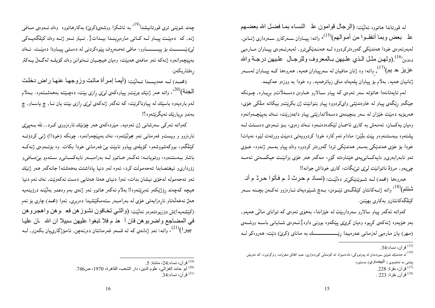له قورئاندا هاتووه ئەلٽيت: (الرجال قوامون عذ النساء بمـا فضـل الله بـعضــهم على بعض وبما أنفقــوا من أمـوالمهم)(<sup>15)</sup>، واتـه: پيــاوان ســـهركارو ســـهرداري ژنــانن, لەبەرئەوەي خودا ھەندێكى گەورەتركردووە لــه ھەنــدێكىترو, لەبەرئــەوەي پيــاوان مــارەيى دهدهن<sup>16)</sup>.(ولمهن مثـل الـذي علـيهن بـالمعروف وللرجـال علـيهن درجـة والله عزیز ح یم)<sup>(17</sup>)<sub>,</sub> واته: وه ژنان مافیان له سهرپیاوان ههیه, ههروهها کـه پیـاوان لهســهر ژنانیان هەیە, بەلام بۆ پیاوان پلەیەك مافى زیاترهەیە, وە خودا بە ووزەو حەكیمە.

لەم ئايەتانەدا ھاتۆتە سەر ئەوەي كە پياو سـالارو خـاوەن دەســەلاتو بږيــارە, چــونكە جینگهو رِپکهی پیاو له خاوهندیتی وایکردووه پیاو بتوانیت ژن بکرِیت و بیکاته ملکی خوّی، همربۆيه دەبێت خێزان له سەر بنچينەي دەسەلاتدارێتى پياو دابمەزرێت، نــەك بەپێچــەوانەوە وەيان يەكسان، ئەمەش بە كارى ئاسمـان لێكدەدەنــەوە نــەك زەوى، بــۆ ئــەوەي دەســتت لــە پشتهوه ببهستنهوهو پیّت بلیّین: مادام ئهم کاره خودا کردوویهتی دهبیّت وورتهت لیّدِه نهیات! خودا بۆ خۆي هەندێکي بەسەر ھەندێکي تردا گەورەتر کردووه وەك پياو بەسەر ژنەوە، خــۆي ئەو نابەرابەرىو ناپەكسانىيەى ھێناوەتە گۆر، مەگەر ھەر خۆى بزانێت حيكمــەتى ئـەمــە چېيەو, مرۆۋ ناتوانيت لوڼې توپېگات، كارې خوداش جوانه!!

هەروەها (محمد) لــه شــوێنێکيتر دەلێـت: (نسـادُ م حـرث لـ ـم فـأتوا حـرثْ م أنــ شَنْتُم)<sup>(18</sup>) واته ژنــهکانتان کێلگــهی ئێــوهن، بــهچ شــێوهیهك ئــارهزوو ئـهکــهن بچــنـه ســـهر كێڵگەكانتان٫ بەكارى بهێنن.

کەواتە ئەگەر پياو سالارو سەرداربێت لە خێزاندا، بەھۆی ئەوەی کە توانای مالێی ھەيەو, بەو ہۆيەوە ژنەكەي كړيوە وەيان كرێێي پێكەوە بوونى داوە}ئــەوەي شــايانىي باســە ووشــەي 

چەند شوێنى ترى قورئانيشدا<sup>(19</sup>) بە ئاشكرا ووشەی(كرێ) بەكارھاتووە وەك ئــەوەی مــافى ژنه, که دهبیّـت پیـاو لــه کــاتـی مارهبرینــدا بیــدات{. ئــیتر ئــهو ژنــه وهك کیّلگهپــهکی لرنديســـــــت بۆييــــــــــــاوو، مافى تەصەروف يينوەكردنى لە دەستى ييــاودا دەبينــت. نـــەك بەيينچەوانەوه ژنەكە ئەو مافەي ھەبيّت، وەيان ھيچىيان نــەتوانن وەك كۆيلــە لەگــەلْ يــەكتر رەڧتاربكەن.

(محمد) لــه حهديسـدا ئــهلّيّت: (أيمـا إمـرأة ماتـت وزوجهـا عنهـا راض دخلت المجنة)<sup>(20)</sup>، واته هەر ژنێك بمرێتو پیاوەكەی لیێی ڕازی بێت، دەچـێتە بەهەشــتەوە. بــەلاّم لهم بارەيەوە باسێك لە پياوناكرێت، كە ئەگەر ژنەكەي لىێى رازى بێت يان نــا, چ ياســاو, چ بەندو بريارێك ئەپگرێتەوە؟!

کەواتە ئەرکىي سەرشانىي ژن ئەوەيە, مىيردەکەي ھەر چۆنىيك ئارەزووى كــرد . . لله بــەيـيێى ئارەزوو و ویستو فەرمانىي ئەو بجولێتەوە، نەك بەپێچەوانەوە. چونكە (خودا!) ژنىي كردۆتــە کێلگەو، بووکەشووشەو، کۆیلەی پیاوو نابێت بیٚ فەرمانی خودا بکات. وە بۆئــەوەی ژنەکــە باشتر ببەستنەوە، ووتوپانــه: ئەگــەر ھــاتوو لــه بەرامبــەر ناپەكســانىو ســتەمو بىێصـافىو زۆردارىو ئىغتصابدا تەحەمولت كرد، ئەوە لەو دنيا پاداشتت بەھەشتە! جائەگەر ھەر ژنێك ئەو تەحەمولە لەخۆى نيشان بدات، ئەوا دنياى ھەتا ھەتايى دەست ئەكەوپىت, نەك ئەم دنيا هيچە كەچەند رۆژێكەو ئەبرِێتەوە‼ بەلام ئەگەر ھاتوو ئەو ژنەي بەم وەعدو بەلێنە درۆينەيە همان نەخەلّەتاو ناړەزايەتى خۆى لە بەرامبەر ستەمكێشيدا دەربړى, ئەوا (محمد) چارى بۆ ئەم (كَيْشْهِيه!)ش دوْزِيوهتْمُوهُو ئْهِلْيْتْ: (وَالْتَـي تَخْلَفُونْ نْشُـوزْ هْنْ فْعْ ۚ ـوْ هْنْ وَاهْجْرُو هْن في المضاجع واضربو هن فان أحذ م فلا تبغوا عليهن سبيلا ان الله بان عليا بیرا)<sup>(21)</sup>، واته: ئەو ژنانەي كە لە قسەو فەرمانتان دەرئەچن, ئامۆژگارىيان بكەنو, لــە

<sup>&</sup>lt;sup>(15)</sup> قر آن، نساء:34.

<sup>&</sup>lt;sup>16)</sup> له هەندیّك شویّن سوردمان له پهرتووکی: ئادەمیزاد له کۆمەلّ<sub>ک</sub> کوردەواری، عبد الخالق معروف، وەرگرتووە، که ئەویش

يشتي به تەفسيري ( البيضاوي) بەستووە.

<sup>&</sup>lt;sup>(17)</sup> قرآن، بقرة: 228.

<sup>&</sup>lt;sup>(18)</sup> قرآن. بقرة: 223 .

<sup>&</sup>lt;sup>(19)</sup> قرآن، نساء:24، مائدة: 5.

<sup>(20)</sup> أبو حامد الغزالي، علوم الدين، دار الشعب، القاهرة، 1970، ص746.

 $.34$ ۇر آن، نساء:34 $^{(21)}$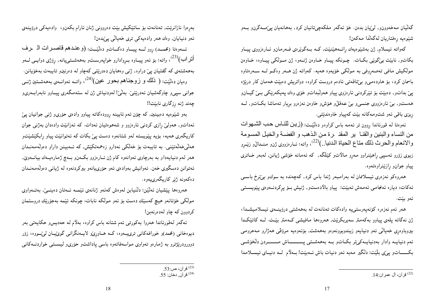گەلیّان مەخەوونو, لیّیان بدەن. خۆ ئەگەر ملکەچیتانیان کرد, بەھانەیان پیّصـەگرنو بــەو شیْوەيە رەڧتاريان لەگەلْدا مەكەن!

كەواتە ئىسلام, ژن بەشێوەيەك رائــەهێنێت, كــە بــەگوێرەي فــەرمانو ئــارەزووي پيــاو بکاتو, نابيّت بيٰگويْپي بکـات. چـونکه پيـاو خـاوهن ژنـهو، ژن مــولکي پيـاوه، خـاوهن مولکيش مافي تەصەروفى بە مولکى خۆيەوە ھەيە. كەواتە ژن ھــەر وەكــو لــە ســەرەتاوە باسمان کرد، بۆ هاودەمىیو بىتتاقەتى ئادەم دروست کراوە، دواتریش دەبینت هەمان کار دریژه پێ بداتو, دەبێت بۆ تێرکردنى ئارەزوى پياو ھەولڵبداتو خۆى وەك پەيكەرێكى بـێ گيـانو ههستو, بیّ ئارەزووی جنسبی بیّ عەقلّ( هۆش وخاوەن نەزەرو بریار تەماشا بکـاتو, لــه ړیزې باقې ئەو شتومەكانە بێت كەپياو خاوەندێتى.

ئەوەتا لە قورئاندا ڕوون تر ئەمە باس كراوەو دەلێت: (زينن للنىاس حـب الشىھوات من النساء والبنين والقنـا ير المقد رة مـن الـذهب و الفضـة والخيل المسـومة والانعام والحرث ذلك مناع الحياة الدنيا..)(<sup>22)</sup>، واته: تـارهزووي ژنو منـدالْو زيْـرِو زیوی زۆرو ئەسپی رِاهێنراوو مەړو مالاتو کێلگە, کە ئەمانە خۆشی ژیانن, لەبەر خـاتری پياو جوانو ړازنينراوهتهوه.

همروهکو نهزهری ئیسلاممان له بهرامبهر ژندا باس کرد, کهچهنده به سوك و بی نرخ باســی ئەكات، ديارە ئەنجامىي ئەمەش ئەبێت: پياو بالادەستو, ژنيش بــۆ پڕكردنــەوەي پێويســتى ئەو بێت.

هەر ئەم نەزەرە كۆنەپەرستىيە وادەكات تەنانەت لە بەھەشتى درۆينــەي ئيسلاميشــدا، ژن نەگاتە پلەي پياوو بەكەمتر سەيربكرێت, ھەروەھا مافيشى كـەمتر بێـت. لــە كاتێكـدا بیروباوەرِی خەيالْی ئەو دنيايەو زىندوبوونەوەو بەھەشت, بۆئەوەيە مرۆڤی ھەژارو مەحرومی ئەم دنيايــه وادار بەدنيايــەكىتر بكــاتو بــه بەهەشــتى يــــــــــــاش مـــــــــردن دلْخۆشــى بکــــــاتو پیێی بلێت: دلکیر مەبە ئەو دنیات باش ئـــەبیّت! بـــەلاّم لـــە دنیـــای ئیســـلامدا

بەرِهوا نازانریت, تەنانەت بۆ ساتیکیش بیّت دەروونی ژنان ئارام بکەن۵، وادەيەكى درۆينەى ئەو دنيايان, وەك ھەر وادەيەكى ترى خەيالى پىێدەن!

أنتراب)<sup>(23</sup>)، واته: بۆ ئەو پیــاوه بــږوادارو خواپـەرســتو بـەهـەشــتـییانـە, ږۆژی دوايــی لـــهو بهههشتهی که گفتیان ییّ دراوه, ژنبی وههایان دهدریّتی کهچاو له دهرنینو تایبهت بهخوّیانن. ومیان دەلێت: ( نْلَك و زوجناهم بحور عین)<sup>(24)</sup>، واتــه ئـهوانــهى بـههمشــتین ژنــي جوانبي سپېرو چاوگەشيان ئەدرېتىيْ. بەلىْيْ! لەودنياش ژن لە ستەمگەرى پيـاوو نابەرابــەرىو چەند ژنە رزگارى نابێت‼

بهو شیّوهیه دهبینین, که چۆن ئـهم ئایینـه رِوودهکاتـه پیاوو وادهی حۆریو ژنـی جوانـیان پیّ ئهداتو, ههولیٌ رازی کردنی ئارهزوو و شههوهتیان ئهدات. که ئهزانیّت وادهدان بهژنی جوان کاریگەری هەیە، بۆیە پیویستە لەو شتانەوە دەست پیّ بکات کە ئەتوانیّت پیاو رابکی٘شیٚتو هەلىم خەلەتتىنى. بە تايبەت بۆ خەلكى نەدارو زەحمەتكىش, كە ئــەبينن داراو دەولەمـەنــدان همر لهم دنيايهداو به بهرچاوي ئـهوانـهوه كام ژن ئـارهزوو بكـمنو بـمچ ژمارهيـمك بيانـــهويّ, ئەتوانن دەسگیرى خەن. ئەوانىش بەوادەي ئەو حۆرىپانەو بېركردنەوە لە ژيانىي دەولەمەنىدان دەكەونە ژێر كارىگەرىيەوە.

هەروەها پێشیان ئەڵێن: دڵنیابن لەوەش كەئەو ژنانەی ئێمــە ئــەتان دەينــێ, بەتــەواوی مولکی خۆتانەو هیچ کەسێك دەست بۆ ئەو مولکە نابات، چونکە ئێمە بەجۆرێك دروستمان کردوون که چاو لهدهرنهبن!

ئەگەر لەقورئاندا ھەروا بەكورتى ئەم شتانە باس كراوە، بەلاّم لە حەدىس وحكايەتى بەر دیوهخانی (محمد)و خورافهکانی ترییــهوه، کــه هــاوړیێو لایــهنگرانی گویێــان لیێبــووه، زوّر دوورودرنیژنرو به ژمارهو تەواوى مواسەفاتەوه باسى پاداشتو حۆرىو ليستمى خواردنــەكانى

<sup>&</sup>lt;sup>(23)</sup> قرآن، ص:53.<br>قرآن, دخان: 55.

<sup>&</sup>lt;sup>(22)</sup> قرآن، آل عمران:14.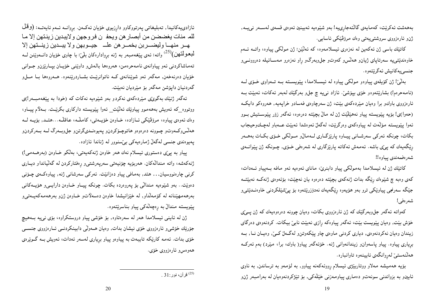بەھەشت ئەكرېت، كەمايەي گالتەجاړىيە! بەو شێوەيە ئەبينين ئەوەي قسەي لەســەر نىيــە, ژنو ئارەزووى سروشتىيەتىي وەك مرۆڤێكى ئاسايى.

کاتێك باسی ژن ئەکەبین لە نەزەری ئیسلامەوە، كە ئەلێین: ژن مولکی پیاوە، واتــە ئــەم خاوهندیتیییه سهرتاپای ژبان وههانس و کهوت و جل وبهرگ و راو نهزهرو مهسـائیله دهروونــی و جنسىيەكانيش ئەگرێتەوە.

بەلْیْ! ژن کۆیلەی پیاوەو مولکی پیاوە لە ئیســلامدا، پیْویســته بــه تــهواوی خــۆی لــه (نامەحرەم!) بشارێتەوەو خۆي بپۆشىٚ. ئازاد نىيە چ جلږو بەرگێك لەبەر ئەكات، ئەبێت بــە ئارەزووی باوكو برا وەيان مىيردەكەی بېيت، ژن سەرچاوەی فەسادو خراپەيە, ھەروەكو دايكــە (حەوا)ى! بۆيە پێويستە پياو نەھێلێت ژن لە مالٌ بچێتە دەرەوە، ئەگەر زۆر پێوســتيش بــوو ئەوا پێویسته مۆڵەت لە پیاوەكەی وەرگرێت، لەگەلْ ئەوەشدا ئەبێت عــەباو لەچـكوحیجاب بکات، چونکه ئەرکى سەرشـانى پيـاوه پارێزگـارى لــەمالْو مــولْکى خـۆى بکـات بەھــەر ریگەیەك كە پیٖی باشە. ئەمەش ئەكاتە پارێزگارى لە شەرەفى خـۆى, چـونكە ژن پێوانــەي شەرەفمەندى يياوە!!

كاتيْك ژن له ئيسلامدا بهمولكي پياو دابنري، ماناي ئەوەيە ئەو مافه بــەپياو ئــەدات، کەی وەبە چ شێوەك ڕێگە بدات ژنەکەی بچێتە دەرەوە يان نەچێت، بۆئەوەی ژنەکــە نەبێتــە جێگە سەرنجى پياوێكى ترو بەو ھۆيەوە رێگەيەك نەدۆزرێتەوە بۆ پێشێلكردنى خاوەنــدێتىىو شەرەفى!

کەواتە ئەگەر جلوبەرگێك کە ژن ئارەزووى بکات، وەبان چوونە دەرەوەيەك كە ژن پــێي خۆش بینت, وەیان پینویست بینت، ئەگەر پیاوەكە رِازى نەبینت نابیٌ بیكات. كردنەوەی دەرگای زیندان وهیان نهکردنموهی, دیاری کردنی ماوهی چاو پیککهوتنو لهگمل کـیّ, وهیـان نــا, بــه برِیاری پیاوه. پیاو پاسهوانو زیندانهوانی ژنه. خوّئهگهر پیاو( باوك، برا، میّرد) بهم ئهرکـه هەڭنەستى لەروانگەي ئايينەوه تاوانبارە.

بۆيە ھەميشە مەلاو ووتاربێژى ئيسلام رووئەكەنە پياوو, بە لۆمەو بە ترساندن, بە ناوى ئايينو به بزواندنی سونەتو دەماری پياومەزنی خێلْهکی, بۆ تێژکردنەوەيان لە بەرامبەر ژنو

ئازادىيەكانيدا, تەبليغاتى پەرتووكاوو داړزيوى خۆيان ئەكـەن. بږوانــە ئــەم ئايەتــە: (وقْلْ للم منات يغضضن من أبصار هن ويحف ن فروجهن ولايبدين زينتهن إلا ما<br>هــر منهــا وليضـــربن بخمــر هن علــــ جيــوبهن ولا يبــدين زينــتهن إلا لْبِعُولَمْتُهْن)(<sup>23)</sup> واته: ئەي پێغەمبەر بە ژنە ب<sub>ْر</sub>وادارەكان بلّیّ: با چاوی خۆيان دانــەوێنن لــه تەماشاكردنى ئەو پياوانەي نامەحرەمن، ھەروەھا بالەش٫ داوێنى خۆيـان بپــارێزن٫ جــوانى خۆيان دەرنەخەن, مەگەر ئەو شوێنانەي كــە ناتوانرێـت بشــاردرێنەوە. ھــەروەھا بــا مـــلو گەردنيان داپۆشن مەگەر بۆ مێرديان نەبێت.

ئهگەر ژنێك بەگوێێى مێردەكەي نەكردو بەو شێوەيە نەكات كە (خودا بە پێغەمبـەر!)ى ووتووه\_كه ئەويش بەھەموو پياوێك ئەلٽيت\_ ئەوا پێويستە داركارى بكرێت. بـﻪلام پيـاو، وەك ئەوەي پياوە، مرۆڤێكى ئـازادە، خـاوەن خۆيــەتى، كاملـّـه، عـاقلـّـه...هتــد, بۆيــە لــه هەلسْوكـەوتو چـوونە دەرەوەو ھاتوچـۆكردنو پەيوەنـدىگرتن٫و جل،وبـەرگ لــە بــەركردن٫ يەيوەندى جنسى لەگەلْ ژمارەيەكى بې،سنوور لە ژناندا ئازادە.

پیاو به پیٌی دهستوری ئیسلام نەك هەر خاوەن ژنەكەيەتى، بەلْكو خـاوەن (بەرھــەمـی!) ژنهکەشە، واتە مندالەکان. ھەربۆيە چۆنيەتىي سەرپەرشتى ورەفتارکردن لە گەلىيانداو ديبارى کرنی چارەنووسیان… هتد, بەمافی پیاو دەزانیت. ئەركى سەرشانى ژنە, پیاوەكـەی چـۆنى دەويت.. بەو شيموەيە مىندالٽي بۆ پەروەردە بكات. چونكە پيـاو خـاوەن دارايــيو هۆيــەكانـي بەرھەمھیّنانە لە كۆمەلْداو, لە خیّزانیشدا خاوەن دەسەلاتو خـاوەن ژنو بەرھەمەكەيــەتىىو پێویسته مندالٌ به رِهچەڵەکى پیاو بناسرێتەوه.

ژن له ئاينـی ئـیسلامدا هـهر لـه سهرهتاوه, بۆ خۆشـی پيـاو دروستکراوه، بۆی نـی4 بــههیچ جۆرنیك خۆشى و ئارەزووى خۆى نيشان بدات, وەيان ھــەولْي دابينكردنــي ئــارەزووى جنســي خۆی بدات. ئەمە كارېكە تايبەت بە پياوەو پياو بريارى لەسەر ئەدات، ئەويش بــه گــويرەي هەوەسو ئارەزووى خۆي.

 $1:31$ قرآن، نور :31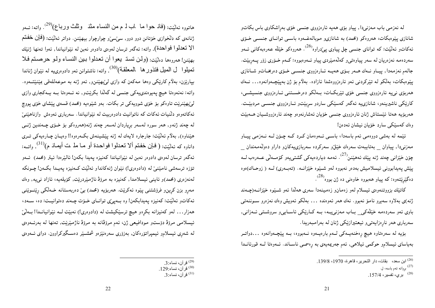له نەزمىي باب مەزنىدا, يياو بۆي ھەيە ئارەزووى جنسى خۆي بەراشكاوى باس بكاتو شانازی پیوهبکات، هەروەکو (محمد) به شانازی ِ موبالەغــهوه باســی توانــای جنســی خــۆی ئەكاتو ئەلێت: كە تواناى جنسى چل پياوى پێدراوە<sup>(26</sup>). ھەروەكو خێڵە عەرەبەكانى ئــەو سەردەمە نەزەريان لە سەر يياوەتىىو كەلەمپردى يياو ئــەوەبووە: كــەم خـۆرى زۆر يــەربيّت. جالهم نهزمهدا, پيـاو نـهك هــهر بـۆي ههيـه ئـارهزووي جنســي خـۆي دهربخـاتو شـانازي پیّدِهبکات، بەلکو لە تیّرکردنى ئەو ئارەزووەشدا ئازادە. بەلاّم بۆ ژن بەپیّچـەوانەوە... نــەك هەربۆي نېپه ئارەزووي جنسى خۆي تێربکـات، بــەلکو دەرخســتنـى ئــارەزووي جنسيشــى، کاریکی ناشیرینهو، شانازییه ئهگەر کەسپکی ساردو سربیتتو ئـارەزووی جنســی مردبیّــت. هەربۆيە هەتا ئېستاش ژنان ئارەزووى جنسى خۆيان ئەشارنەوەو چەند ئارەزووشىيان ھــەبېنت وەك كەسپىكى سارد خۆيان نيشان ئەدەن!

ئیْمه له بهشی دووهمی ئهم باسهدا، باسمی ئـهوهمان کـرد کـه چـۆن لــه نــهزمـی پیــاو مەزنىدا, يياوان \_ بەتايبەت سەرەك خێڵر سەركردە سەربازىيەكان٫ داراو دەولەمەندان \_ چۆن خێزانى چەند ژنە يێك ئەھێنن<sup>(27)</sup>. ئەمە دياردەيەكى گشتىيەو كۆمــەلى عــەرەب لــە ييْش پەيدابورنى ئېسلامېش بەدەر نەبورە لەر شىيىرە خَيْزانــە. (تەبــەرى) لــە ( زوحـاك)ەوە دهگێرینتهوه: که پیاو ههېووه خاوهنی ده ژن بووه<sup>(28</sup>).

کاتینك بزووتنـهوهی ئیسلام لـهو زهمـانو زهمـینـهدا سـهری هـهالدا ئـهو شــیدوه خیزانــه(چــهند ژنه)ى بەلاوە سەيرو نامۆ نەبوو. نەك ھەر ئەوەندە ... بەلكو ئەويش وەك نەزەرو ســوننەتـى باوي ئەو سەردەمە خێڵەكى باب مەزنىييە، بـە كـارێكى ئاسـايىرو سروشــتى ئــەزانى, سەربارى ھەر نارەزايەتىي ئىعتيرازێكى ژنان لە بەرامبەريدا.

بۆيە لە سەرەتاوە هيچ رەخنەيبەكى لىەم بارەيبەوە نىەبووە، بىە پێچىەوانەوە ...دواتىر بەياساي ئېسلامو حوكمى ئيلاهى, ئەم جەريمەيەي بە رەسمىي ناسـاند. ئــەوەتا لــە قورئانـدا

هاتووه ئەلٽيت: (فانـ حوا ما اب لـ م من النساء مثنـ وثلث وربـاع)<sup>(29</sup>). واتـه: ئــهو ژنانـهي کـه دلخوازي خۆتـانن دوو دوو, سـيّسيٽو چوارچوار بيـهيٽنن. دواتر ئـهلٽيت: (فحال خـفـلـم الا تُعْدَلُوا فُواحِدة). واته: ئەگەر ترسان لەرەي دادوەر نەبن لە نێوانياندا, ئەوا تەنھا ژنێك بهيّنن! همروهها دهلّيّت: (ولَّن تسدَّ يعوا أن تعدلوا بين النساء ولمو حرصتم فلا تميلوا ۖ ل الميل فتذور ها ۖ بالمعلقة)(<sup>30)</sup>. واتـه: ناشتوانن ئـهو دادوەرىيـه لـه نـێوان ژناندا بپارټزن، بهلام کارټکي وهها مهکهن که وازې لې بهينننو, ئهو ژنه به موعهللهقي بميننيتــهوه. واته: نهئهوهتا هيچ پهيوهندي پهکي جنسي له گهلُڏا بکرينتو, نه ئــهوهتا بــه پــهکجاري وازي لی،پهیننریت تاوهکو بۆ خۆی شوویـهکی تر بکات. بـهو شیموهیـه (محمد) قسمی پینشای خۆی پـووچ ئەكاتەوەو دلىنيات ئەكات كە ناتوانيت دادوەربيت لە نێوانياندا. سەربارى ئەوەش وازناھێنىێ له چەند ژنەو, ھەر سورە لەسەر برياردان لەسەر چەند ژنە(ھەروەكو بۆ خىۆى چـەندين ژنــى هینناوه), بەلام ئەلێت: جارجارە لايەك لە ژنە يینشینەش بكـەرەوە!! وەيــان چــارەيـەكـى تــرى داناوه كه ئهلّيّت: ( فَإِن خَفْتُم ألا تَعْدَلُوا فواحدة أو ما مد ت أيماذ م)(<sup>31)</sup>. واتــه: ئەگەر ترسان لەوەى دادوەر نەبن لە نێوانياندا كەنيزە پەيدا بكەن! ئالێرەدا ئيتر (محمد) ئــەو تۆزە ترسەشى نامينىن لە (دادوەرى!) نيوان ژنەكانداو ئەلىيت كـەنيزە يەيـدا بكـەن! چـونكە لەنەزەرى (محمد)و ئاينىي ئىيسلامدا, كەنيزە بە مرۆۋ ناژمىيردرېت, كۆيلەيە، ئازاد نىييە, وەك مەرو بزن كرين٫و فرۆشتنى پێوە ئەكرێت. ھەربۆيە (محمد) بێ دەربەستانە خـەڵكى رێنــوێنىي ئهکاتو ئهلیّت: کهنیزه پهیدابکهن! وه بـهپیّی توانـای خــۆت چــهند دهتوانیــت: ده، ســهد، ههزار… لهو کهنیزانه بکرهو هیچ ترسیکیشت له (دادوهری!) نهبیّت لـه نیوانیانـدا! بـهلیّ ئیسلامی مرۆۋ دۆستو مودافیعی ژن، ئەم مرۆۋانە بە مرۆۋ ناژمیرییت, تەنھا لە بەرئــەوەی له شەرى ئىسلامو ئىمپراتۆرەكان, بەزۆرى سەرەنتزەو شمشــێر دەســگیركراوون. دواي ئــەوەي

اين سعد، بقات، دار النحرير ، قاهر ة، 1970، 139/8.

<sup>&</sup>lt;sup>(27)</sup> بږوانه ئهم باسه، ل.

<sup>&</sup>lt;sup>(28)</sup> بري، تفسير ، 157/4.

<sup>&</sup>lt;sup>(29)</sup> قرأن، نساء:3. <sup>(30)</sup> قر آن، نساء:129.  $3:$ قر آن، نساء 3.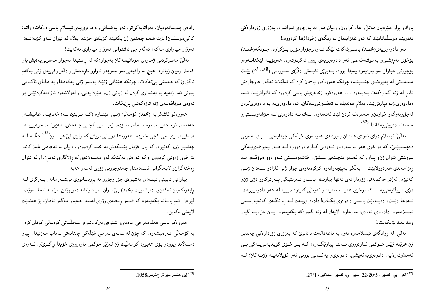باوكو براو ميّرديان قەتلٌو عام كراوون, وەيان هەر بە بەرچاوي ئەوانەوە, بەزۆرى زۆردارەكى ئەدرىننە موسلمانانىيك كە ئەو غەزايەيان لە رېگەي (خودا!)دا كردووە!!

ئەو دادوەرىيەي(محمـد) باسـىئەكات لێكدانـەوەيجۆراوجۆرى بـۆكراوە. چـونكە(محمـد) بۆخۆي بەرۆشنىږ بەموشەخەصى ئەو دادوەرىيەي روون نەكردۆتەوە, ھەربۆيــە لێكدانــەوەو بۆچوونی جیاواز لەو بارەيەوە يەپدا بووە. بــەيـێی ئاپــەتـی (3)ی ســورەتـی (المنسـاء) بێـت مەبەستىي لە پەيوەندى جنسيشە، چونكە ھەروەكوو باسمان كرد كە ئەلێت: ئەگەر جارجارەش ئاور له ژنه گەورەكەت بدەيتەوە ... هەروەكوو (محمد)يش باسىي كردووە كە ناتوانرێـت ئــەم (دادوهري!)په بپاریزریت. بهلام همندیّك له تهفسیرنووسهكان, ئهم دادوهري به دادوهریكردن لهجلوبهرگو خواردن و مهسرهف کردن لێك ئەدەنەوە, نــهك بــه دادوەرى لــه خۆشەويســتـىو مەسەلە دەرونىيەكاندا.<sup>(32</sup>)

بەلنیٚ! ئىسلام دواي ئەوەي ھەمان يەيوەندى ھاوسەرى خَيْلْەكى چينايەتى \_ باب مەزنى دەچەسيپنىن، كە بۆ خۆي ھەر لە سەرەتاو ئــەوەلىّى كــارەوە, دوورە لــە ھــەر يـەيوەندىيــەكى سروشتی نێوان ژن٫و پیاو, که لهسهر بنچینهی عیشق٫ خۆشەویستی ئــه٫ دوو مرۆڤـهو بــه رەزامەندى ھەردوولابيّت \_ بەلكو بەييْچەوانەوە كۆكردنەوەي چوار ژنبي ئازادو سـەدان ژنــي كەنيزە, لەژنير حاكميەتى زۆردارانەي تەنھا يياويْك, ياسـاو نــەرپتيْكى پــەرتوكاوو دژى ژنو دژی مرۆڤاپەتىيە \_ كە بۆخۆی ھەر لە سەرەتاو ئەوەلى كارەوە دوورە لە ھەر دادوەرىيەك. ئــهوجا دێــتو دەيــهوێت باســي دادوەرى بكــات! دادوەرىيــهك لــه روانگــهى كۆنەپەرســتى ئيسلامەوه, دادوەرى ئەوەي: جارجارە لايەك لە ژنە گەورەكە بكەيتەوە, يــان جل؋وبــەرگيان وەك يەك بۆبكەيت!!

بەلگی: لە روانگەي ئېسلامەوه ئەوە بە ناعەدالەت دانانری کە بەزۆرى زۆردارەکى چەندىن ژن بخریته ژنیر حـوکمی ئــارەزووی تــەنها پیاویکــهوه، کــه بــۆ خــۆی کۆیلايـەتـی=ــهکی بــیّ ئەملاوئەولايە. دادوەرىيەكەيشى, دادوەرىو يەكسانى بوونى ئەو كۆيلانەيـە (ژنــەكان) لــە

رادەي چەوسانەوەيان. بەواتايەكىتر, ئەو يەكسانى و دادوەرى يەي ئىسلام باسى دەكات، واتە: كاكى موسلمان! بۆت هەيە چەندين ژن بكەيتە كۆيلەي خۆت، بەلام لە نێوان ئــەو كۆيلانــەدا فەرق و جیاوازی مەکە، ئەگەر چی ناشتوانی فەرق و جیاوازی نەکەيت!!

بەلىّ حەسركردنى ژمارەي مونافيسەكان بەچوار(كە لە راستيدا بەچوار حەسرنىيە)يش يان کهمتر وهیان زیاتر، هیچ له واقیعی ئهو جهریمهو ئازارو نارهحهتی و دلّهراوکینیهی ژنبی یهکهم ناگۆرى كە ھەستىي پىئەكات. چونكە ھێنانىي ژنێك بەسەر ژنىي يەكەمدا, بە ماناي ناكـافىي بوونی ئەو ژنەپە بۆ بەشدارى كردن لە ژيانى ژنو مېرداپەتىږ, لەولاشەوە ئازادنەكردنېتتى بۆ ئەوەي مونافەسەي ژنە تازەكەشى پېڭات.

هەروەكو ئاشكرايە (محمد) كۆمەلى، ژنسى هيننــاوه (كــه بــريتين لــه: خەدىجــه, عـائـيشــه, حەفصە, ئوم حەبيبە, ئومســەلمە, سـۆدە, زەينــەبى كچـى جـەحش, مەيمونــە, جوەيرييــە, صهفییه, زەینەبی کچی خەزیمە, ھەروەھا دووانی تریش کە وازی لیّ ھیننــاون<sup>(33</sup>.جگــه لــه چەندىين ژنو كەنىيزە, كە يان خۆيان پێشكەش بە محمد كردووە, وە يان لە ئەنجامىي غەزاكاندا بۆ خۆی زەوتىي كردوون.) كە ئەوەش يەكێكە لەو مەسەلانەي لە رۆژگارى ئەمرۆدا, لە نێوان رەخنەگران ولايەنگرانى ئيسلامدا, چەندوچوونى زۆرى لەسەر ھەيە.

پیاوانی ئایینی ئیسلام, بەشێوەی جۆراوجۆرو بە بروبیـانووی بێشـەرمانە, بـەرگری لــە رابهرهکهیان ئهکهن و, دهیانهویت (محمد) بی تاوان لهو تاوانانه دهربهپنتن. ئینمـه نامانــهویت, لیّزددا ً ئەم باسانە بكەينەوە كە قسەو رەخنەي زۆرى لەسەر ھەيە, مەگەر ئاماژە بۆ ھەندیّك لايەنى بكەين.

هەروەكو باسى ھەلومەرجى ماددىو شێوەى بېركردنەوەو عەقلیەتى كۆمەلى كۆنمان كرد، به کۆمەلىّى عەرەبيشەوە, كە چۆن لە سايەي نەزمىي خێلەكى چينايەتى ــ باب مەزنيدا، پياو دەسەلاتداربووەو بۆي ھەبووە كۆمەلێك ژن لەژێر حوكمى ئارەزووى خۆيدا راگــرێو, ئـــەوەي

<sup>&</sup>lt;sup>(32)</sup> القر بي، تفسير، 20/5-22 السيو ي، تفسير الجلالين، 27/1.

<sup>&</sup>lt;sup>(33)</sup> إبن هشام, سيرة, ج4, ص1058.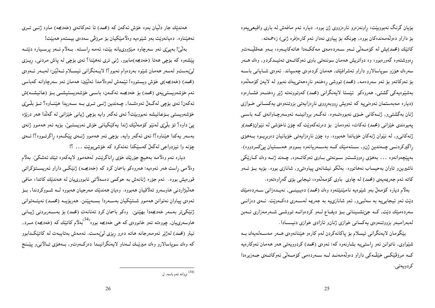بۆیان گرنگ نەبووبیت، راونەزەرو ئارەزووی ژن بووە. دیارە ئەم مافەش لە بارى واقیعییەوە بۆ داراو دەولەمەندەكان بووە, چونكە بۆ يياوى نەدار ئەم كارە(فرە ژنبي) زەجمەتە. كاتێك (محمد)يش له كۆمــەلىّى ئــەو ســەردەمەي مـەككــەدا ھاتـەكايــەوە، بــەو عـەقلّىيــەتو رهووشتموه گەورەبوو، وه دواتریش هەمان سوننەتبی باوی ئەوكاتــەی تەئیــدكردو, وەك هــەر سەرەك ھۆزو سوياسالارو داراو ئەشرافێك, ھەمان كردەوەي چەسياند. ئەوەي شــايانى باســە بۆ ئەوكاتەو بۆ ئەو سەردەمە, (محمد) تووشى رەخنەو نارەحەتىيەك نەبوو لە لايەن كۆمەلەوە بەشێوەيەكى گشتى, ھەروەكو ئێستا لايەنگرانى (محمد) كەوتوونەتە ژێر رەخنــەو فشــارەوە (دیاره مەبەستمان ئەوەنىيە كە ئەويش رووبەرووى نارەزايەتى بزوتنەوەي يەكسانى خىوازى ژنان بهگشتبی و ز ژنــهکانبی خــۆی نـهبووهتــهوه . ئـهگــهر بروانينـــه ئـهوسـهرچـاوانـهی کــه باســـی يەيوەندى خێزانى (محمد) ئەكات، ئەوەمان بۆ دەرئەكەوپت كە چۆن ناخۆشى لە نێوان(محمد)و ژنهکانی٫و له نیموان ژنهکان خۆیاندا ههبوره. وه چۆن نارهزایهتی خۆیانیان دهربریوه بههوی راگیرکردنسی چــەندین ژن٫و ســتـەمێك كــه بـەســـەریانـەوە بــووەو هـەســتيان یـێکـــردووه). بەيێچەوانەوە ... بەھۆى رەووشىتو سىونەتى بىاوى ئەوكاتـەوە, چـەند ژنـە وەك كـارێكى ناشپرین و تاوان بهحیساب نههاتووه. بهلکو نیشانهی پیاوهتی و, شانازی بووه. بۆیه بــۆ ئــهو کاته ئەم جەريمەيەي (محمد) لە چاوي باوي کۆمەللەرە، ئيجابىي بۆي گەراوەتەوە.

بهلام دیاره کۆمەلٌ بەو شَیْوەیە نامیننیتتەوه وەك (محمد) دەيبينسى, نەپىدەزانى سەردەمیْك دیت ئەو ئیجابىييە بە سەلبىي, ئەو شانازىيە بە جەريمە لەسـەرى دەكـەویت. نــەي دەزانــى سەردەمىيك دېيت, كــه جېزىشــيىنانى بــۆ دىفــاع لــەو كردەوانــه تووشــى شــەرمەزارى ئــەبن لهبهرامبهر بزووتنهوهي يهكساني خوازي ژنان وئازادي خوازي دنيسادا.

بَيْگُومان لايەنگرانى ئىسلام بۆ پاكانەكردن لەم كارەو ھَيْنانەوەي ھــەر مەســەلەيەك بــە شیپواوي, ناتوانن ئەو راستى يە بشارنەوە كە: ئەوەي (محمد) كردوويەتىي ھەر ھەمان ئەوكارەيە کــه مرۆفێکــی خێڵــهکی داراو دەولّەمـەنــد لــه ســەردەمـی کۆمـــەلێی ئـەوکاتـــەی جــەزیرەدا كردويەتى.

هەندێك جار دلیّیان بەوە خۆش ئەكەن كە (محمد) تا ئەوكاتەي (خەدیجە) ماوە ژنــى تــرى نههینناوه. دهیانهویت بهو شیوهیه وهلامیکیان بو مروفی سهدهی بیستهم ههبیت!

بەلگیٰ! بەپئی ئەو سەرچاوە مینژووییانە بیّت، ئەمە راستە. بـەلاّم ئـەو پرسـيارە دیّتــە یپنشهوه که بۆچی ههتا (خهدیجه)مابوو, ژنبی تری نههپننا؟ ئهی بۆچی له یاش مردنبی, ریبزی لېيدىستو لەسەر ھەمان شێوە بەردەوام نەبوو؟! لايـەنگرانى ئيســلام ئــەلێن: لەبــەر ئــەوەي (محمد) (خەدىجە)ى خۆش ويستووە! ئىنمەش لەوەلامدا ئەلىيىن: ھەمان ئەو سەرچاوانە كەباسى ئەم خۆشەريستىييەي (محمد) بۆ خەدىجــە ئەكــەن، باســى خۆشەريستيشــى بــۆ (عـائـيشــە)ش ئەكەن! ئەي بۆچى لەگەلْ ئەوەشىدا, چـەندىن ژنــى تــرى بــە ســەريدا ھێنــاوە؟ تــۆ بلْــێى خۆشەويستى بــۆعـائـيشە نـەبووبێت؟ ئـەي ئـەگەر وايـە بۆچى ژيانى خێزانى لـە گەلْذا ھەر درێژە یئ داوه؟ تۆ بلّیٖی لەنێو کۆمەلێك ژندا پەکێکیانی خۆش نەوپستبی، بۆپە ئەو ھەموو ژنەی بهسهر يهکدا هينناوه؟! ئەي ئەگەر وايە, بۆچى ئەو ھەموو ژنــەي پيٽکـەوه راگرتــووه؟! ئــەي چۆنه وا ئيزدواجى لەگەلْ كەسپكدا نەئەكرد كە خۆشىبويْت ... ؟!

دياره ئـهم وەلامـه بـههيچ جۆرێك خۆي راناگرێتو لـههـهموو لايـهكـهوه تـێك ئـهشكـێ. بـهلام وهلامی راست همر ئەوەپە: هەروەكو باسمان كرد كە (خەدیجـە) ژنێكــی داراو ئـەرىســتۆكراتـی قورەيش بووه. ئەم جۆرە ژنانەش بە حوكمى دەسەلاتى ئابوورىيان لە ھەندىيك كاتدا، مافى هەلْبْژاردنی هاوسەرو تەلاقيان هەبووه. وەيان هەندێك مەرجيان هەبووە لــه شــووكردندا, بــۆ ئەوەي پياوان نەتوانن ھەموو شــتێکيان بەســەردا بســەپێنن. ھەربۆيــە (محمـد) نەيئــەتوانى ژنتیکمیتر بەسەر خەدیجەدا بھیننین. وەکو باسمان کرد تەنانەت (محمد) بۆ بەســەربردنـی ژیــانـی هاوسهرییان, چووهته ئـهو خانووهی که هـی خهدیجه بووه<sup>(34)</sup>بهلاّم کاتـیّـك که (خهدیجه) مـــرد, ئيتر (محمد) لەژنیر ئەومەرجانە ھاتە دەرو رىزى لىێبەست. ئەمەش بەتايبەت لە كاتێكـدابوو که وهك سوياسالارو وهك ميرنيـك لــهناو لايـهنگرانيــدا دهركــهوتو, بــههۆي تــالانـي و يَينـنـج

<sup>&</sup>lt;sup>(34)</sup> بړوانه ئەم باسە, ل.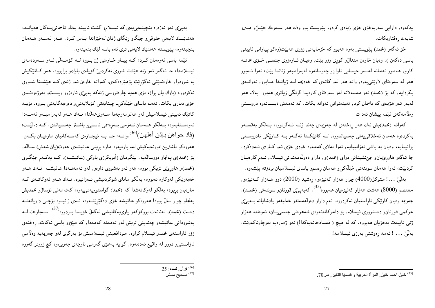پهکەوه, دارایبی سەربەخۆی خۆی زیادی کردو، یینویست بوو وەك هەر ســەرەك خَیْـــان(و مـــیرو شايەك رەفتاربكات.

خۆ ئەگەر (محمد) يېوپستى بەوە ھەبوو كە خزمايەتىي زۆرى ھەبپىت(وەكو يياوانى ئايينىي باسی دهکهن ), وهیان خاوهن مندالٌو کوری زوّر بیّت, وهیـان ئــارهزوی جنســی خــۆی بخاتــه كارو, هەموو ئەمانە لەسەر حيسابى تاوانو چەوسانەوە لەبەرامبەر ژناندا بيّت، ئەوا ئــەبوو ههر له سهرهتای لاویتتی یهوه, واته ههر لهو کاتهی که خهدیجه لــه ژیانــدا مــابوو, ئـهوانــهی بکردایـه, کـه بـۆ (محمد) ئـهو مـهسـهلانـه لـهو سـهرهتاي کارهیدا گرنگـي زیـاتـري هـهـبوو. بـهلام هـهـر لەبەر ئەو ھۆپەي كە باسمان كرد, نەيدەتوانى ئەوانە بكات. كە ئەمەش دېســانەوە دروســتى وەلامەكەي ئېمە پيشان ئەدات.

کەواتە (محمد)يش نەك ھەر رەخنەي لە جەريمەي چەند ژنــە نــەگرتـووە، بــەلْكـو بـەقســەو بەكردەرە ھەمان ئەخلاقىمپەتى چەسپاندورە, لــە كاتێكـدا ئەگـەر بــە كــارێكى نادروســتى بزانیبایه، وهیان به باشی نهزانیبایه, ئەوا بەلای کەمەوه خودی خۆی ئەو کـارەی نــەدەکرد. جا ئەگەر ھاورێپانو جێنشینانی دوای (محمد)و, داراو دەولەمەندانی ئیسلام, ئــهم کارەپــان کردبیّت، ئەوا ھەمان سوننەتى خَیْلْەکىږ ھەمان رەسمۇ ياساي ئیسلامیان بردۆتە يیّشەوە.

بەلىّى ...! متوكل(4000) چوار ھەزار كەنيزەو، رەشيد (2000) دوو ھــەزار كــەنيزەو, معتصم (8000) هەشت هەزار كەنيزەيان ھەبووە<sup>(35</sup>. كەبەپىێى قورئان<sub>2</sub> سوننەتى (محمـد), جەريمە وەيان كارێكى ناراستيان نەكردووە. ئەم داراو دەولەمەندو خەليفەو پادشايانە بــەپىێى حوکمی قورئان و دستووری ئیسلام, بۆ دامرکاندنەوەی شەھوەتی جنسی،پان، ئەوەندە ھەزار ژنبي تايبەت بەخۆيان ھەبورە. كە لە ھيچ ( فەسادخانەيەكدا!) ئەو ژمارەيە بەرچاوناكەوپت. بەلنى ... ! ئەمە رەوشتىي بەرزى ئيسلامە!

ئیْمه باسی ئەوەمان کـرد، کــه پیــاو خـاوەنى ژن بــووه لــه کۆمــەلیّ ئــهو ســەردەمـەی ئیسلامدا، جا ئەگەر ئەو ژنە ھێشتا شووى نەكردېێ كۆپلەي باوكو برابووه. ھەر كـاتێكیش به شوودرا, خاوەندێتبی ئەگۆرێت بۆمێردەكەی. كەواتە خاوەن ئەو ژنەی كــه هێشــتا شــووی نهکردووه (باوك بان برا)، بۆي هەيە چارەنووسى ژنەكە بەيىێى ئارەزوو ويستو بەرژەوەنىدى خۆی دیاری بکات. ئەمە ياسای خێلەکى\_ چينايەتى كۆيلايەتى و دەرەبەگايەتى بىووە. بۆيــە كاتيّك ئاييني ئيسلاميش لەو ھەلومەرجەدا سـەرىھەلّدا، نـەك ھـەر لەبەرامبـەر ئەمـەدا نەوەســتايـەوە، بــەلكو ھــەمان نــەزمـى بــەرەسمى ناســـىو باشــتر چەســياندى, كــە دەلێــت: (فاذ حواهن بإذن أهلهن)(<sup>36</sup>.راتــه: جـا بــه ئيجـازهي كهســهكانيان مارهيـان بكــهن. هەروەكو باشترین نموونەپەكیش لەم بارەپەوە مارە برینبى عائیشەي حەوت(پان شەش) سـالْه, بۆ (محمد)ی یەنجاو دووسالەیە. بێگومان (أبوبکر)ی باوکی (عائیشــه), کــه یـهکــهم جێگــری (محمد)و هاوریږی نزیکې بووه، هـهر ئـهو بـهشووی داوهو, لـهو تـهمـهنــهدا عـائـیشــه نــهك هــهر خەبەرىيكى لەوكارە نەبووە، بەلكو ماناي شوكردنيشى نـەزانيوە. نـەك ھـەر ئەوكاتـەي كـە مارەيان بريوە، بەلكو لەوكاتەشدا كە (محمد) گواستوويەتىيەوە، كەتەمەنى نۆسالْ محمديش پهنجاو چوار سالٌ بووه! همروهکو عائیشه خۆی دهگیرییتـموه، نـمی زانیــوه بۆچــی داویانـهتــه دەست (محمد), تەنانەت بووكۆكەو يارىيەكانيشى لەگەلْ خۆيــدا بــردووە<sup>(37)</sup>. ســەبارەت لــە بەشوردانى عائيشەو چەندينى تريش لەو تەمەنە كەمەدا, كە مێژوو باسى ئەكات, رەخنەي زۆر ئاراستەي محمدو ئيسلام كراوه. مودافعينى ئيسلاميش بۆ بەرگرى لەو جەريمەيە وەلامىي نازانستبی و دوور له واقیع ئەدەنەوە, گواپه بەھۆی گەرمی ناوچەی جەزیرەوە کچ زووتر گەورە

بەيەتى ئەو نەزەرە بنچينەيى يەي كە ئېسلام وگشت ئايينە بەناو ئاسمانى يەكان ھەيانــە، هەندیبل لایەنی حقوقی و جیکاو ریگای ژنمان لەخپزاندا بیاس کىرد. ھىمر لەسىەر ھىەمان بنچينەوە، پێويستە ھەندێك لايەنى ترى ئەم باسە لێك بدەينەوە.

<sup>&</sup>lt;sup>(36)</sup> قرآن, نساء: 25.<br><sup>(37)</sup> صحيح مسلم.

<sup>(35)</sup> خليل احمد خليل المرأة العربية و قضايا التغير ص70.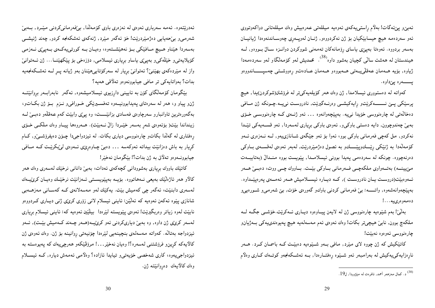ئەبىنى يېئەگات! بەلام راستىيەكەي ئەوەيە مىللەتى عەرەبيش وەك مىللەتانى دواكەوتووى ئەو سەردەمە ھيچ حيسابێکيان بۆ ژن نەكردووەو, ژنـان لەوپــەرى چەوســاندنەوەدا ژيانيــان بەسەر بردووه. ئەوەتا بەپىێى ياساي رِۆمانەكان تەمەنىي شووكردن دوانــزە ســالٌ بــووەو, لــە هیندستان له ههشت سالّی کچیان بهشوو داوه<sup>(38</sup>). محمدیش لهو کۆمەلّگاو لەو سەردەمەدا ژیاوه, بۆیە ھــهمان عـەقلْی $\mathfrak{g}_{\omega}$ ھــهـهـان عــادەتو رەووشــتى چەسیــــــاندووەو 

کەواتە لە دەستوورى ئيسلامدا, ژن وەك ھەر كۆيلەيەكىتر لە فرۆشتن(شوكردن)يدا, ھيچ پرسێکي پـێ نـــــــهکرێتو رايهکيشــي وهرنــهگيرێت, نادروسـت نييــه.چـونکه ژن مــافي دەخالەتىي لە چارەنووسى خۆيدا نىيە. بەپێچەوانەوە ... ئەو ژنــەي كــە چارەنووســى خــۆي بەبی چەندوچوون, دايە دەستى باوكى و, ئەوەي باوكى بريارى لەسەردا, ئەو قسـەيەكى تێـدا نهکردو, مل کهچی فهرمانی باوکی بوو، ئـهوا بۆ ئـهو جێگهی شــانازییـهو, لــه نــهزوری ئــهو كۆمەللەدا بە ژنێكى رێــكوپێــــكو بە ئصول دەژمێردرێت, لەبەر ئەوەي لەقســەي بــاوكى دەرنەچووە. چونكە لە سەردەمى يەيدا بوونى ئيسلامىدا, يێويست بووە منىدالْ (بەتايبىەت مێپینم) بەتمەراوي ملکەچمی فەرمانی بماوکی بیّمت. بماووك چمی ووت، دەبىئ همەر ئــهوهبينت(دروســت يــان نادروســت ), كــه ديــاره ئيســلاميش هــهر ئـهمــهي پـهرهپيّــداوه. بەيێچەوانەشەوە, واتـــــە: بېي فەرمانىي كردنىي باوكو گەورەي خۆت, بېي شەرمىي شورەيى و دەمەوەرىيە…!

بەلنیٰ! بەم شیْدِەیە چارەنووسی ژن لە لایەن پیـاوەوە دیـاری ئــەکریْت.خۆشــی جگــە لــە ملکەچ بوون, نابىٰ ھيچىتر بكات! وەك ئەوەي ئەم مەسەلەيە ھيچ پەيوەندىيەكى بـەژيانو چارەنووسى ئەوەوە نەبێت!

کاتیکیش که ژن چووه لای میرد, مافی بـهو شـیدوهیه دهبینـت کـه باسمـان کــرد. هــهر نارەزايەكىيەكيش لە بەرامبەر ئەو شىيىوە رەفتــارەدا, بــە ئەشــكەنجەو كوتــەك كــارى وەلاّم

ئەدرېتتەرە. ئەمە سەربارى ئەرەي لە نەزەرى باوى كۆمەللاا, بېڭەرمانىكردنى مېيرد, بىەبى شەرمىيو بېرحەپايى دەژمىيردرېت! خۆ ئەگەر مېيرد, ژنەكەي ئەشكەنجە كردو, چەند ژنيشــى بەسەردا ھێناو ھـيچ مــافێکي بــۆ نەھێشــتەوە، وەيــان بــە کورتىيەکــەي بــەيىێى نــەزمـى كۆيلايەتى و خێلەكى و بەپىێى ياساو بريارى ئيسلامى, دۆزەخى بۆ پێكهێنـا... ژن ئــەتوانىێ واز له میردهکمی بهیننیٰ؟ ئەتوانیٰ بریار له سەرکۆتابییهیننان بەو ژیانه پــر لــه ئـەشــکەنجەيە بدات؟ بەواتايەكى تر مافى جيابوونەوەو تەلاقى ھەيە؟

بینگومان کۆمەلگای کۆن بە ئايينى دارزيوى ئيسلاميشەوە, ئەگەر نابەراب1ر بروانیتت ژنو پیاو و، هەر له سەرەتاي پەيدابوونيـــەوه تەفســـېرېچكى خــورافىيو نــزم بــۆ ژن بكــاتو، بهگەورەترین تاوانبارو سەرچاوەي فەسادى بزانێــــت، وە پیێی وابێت کەم عەقلەو دەبــی لــه زینداندا بینت( بۆئەوەی شەر بەسەر خیّىردا زالْ نــەبیّت). ھــەروەھا پیــاو وەك ملكــى خــۆی رِهفتاری له گەللّدا بکاتو چارەنووسی دیاری بکات. له ئیزدواجیدا چـۆن دەيفرۆشــێو, کـام کړیار به باش دهزانینت بیداته ئەوکەسە ... دەبىي چاوەرپى، ئەوەى لىيبكريىت كـه مـافىي جيابوونــهوهو تـهلاق بـه ژن بدات؟! بيٚگومـان نـهخير!

كاتينك باووك بريارى بەشوودانى كچەكەي ئەدات، بەبى دانانى نرخينك لەسەرى وەك ھەر کالاو هەر ئاژەلٽيك بەيعى نــەھاتووە. بۆيــە بەپێويســتى ئــەزانێت نرخێـلك وەيــان كرێيـــەك لەسەرى دابنيت، ئەگەر چى كەميش بيّت. يەكيّك لەو مەسەلانەي كـە كەسـانى مەزھــەبى شانازی پێوه ئەکەن ئەوەپە کە ئەلێن: ئاينىي ئېسلام لانىي زۆرى کرێێی ژنبى ديــارى کــردووەو نابيّت لـهوه زياتر وەربگيريّت! ئـهوەي پيّويستـه لـێرەدا بيلێين ئـهوەيـه كـه: ئـايـنـي ئـيسلام بـرِيـاري لهسەر كرێي ژن داوه, وه بەبێ دیارىكردنى ئەو كرێپە(ھـەر چـەند كـەميش بێـت), ئــەو ئیزدواجه بەتالّە. كەواتە مەسەلەي بنچینەیی لیّرەدا چۆنیەتی روانینە بۆ ژن. وەك ئەوەي ژن كالايەكە كرين و فرۆشتنى لەسەرە؟! وەيان نەخيْر. . . ! مرۆڤێكەو ھەرچىيەك كە پەيوەستە بە ئیزدواجییهوه، کاری شهخصی خۆیەتی و تیایدا ئازاده؟ وەلامی ئەمەش دیاره, کــه ئیســلام وەك كالأىيەك دەروانێتە ژن.

<sup>.&</sup>lt;br>(<sup>38)</sup> د. کمال مەزھەر أحمد, ئافرەت لە مێژوودا, ل19.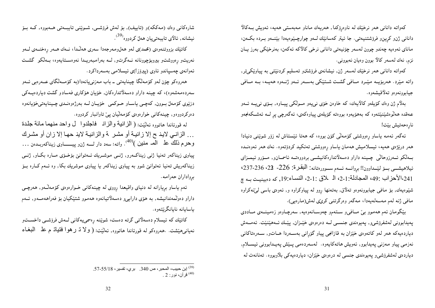كەواتە دانانى ھەر نرخێك لە ناوەرۆكدا, ھەريەك ماناو مەبەستى ھەيە، ئەويش بىەكالا داناني ژنو کرين و فرۆشتنيەتى. جا ئيتر کەسانێك لــهو چوارچـێوەيەدا بێنــهو بــرده بکــهن، ماناي ئەوەپە چەندو چوون لەسەر چۆنيەتى دانانى نرخى كالاكە ئەكەن، بەنرخێكى بەرز يـان نزم, نەك لەسەر كالا بوون وەيان نەبوونى.

كەواتە دانانى ھەر نرختك لەسەر ژن, نيشانەي فرۆشتنو تەسليم كردنتتى بە يياوتكىتر, واته میرد. هەربۆیــه میْــرد مــافی گشــت شــتیْکی بەســـەر ئـــهو ژنـــهوه هەيــه، بــه مــافی جيابوونەوەو تەلاقيشەوە.

بەلاّم ژن وەك كۆيلەو كالاّىيەك، كە خاوەن خۆى نىيەو مىـولكى پيــاوە, بــۆى نىيـــە ئــەو عەقدە ھەلرەشێنێتەوە كە بەھۆيەوە بووەتە كۆيلەى پياوەكەي، ئەگەرچى پر لــە ئەشــكەنجەو نارەحەتيش بێت!

ئەگەر ئەمە ياساو رەووشتى كۆمەلىّى كۆن بووە، كە ھەتا ئېستاش لە زۆر شوپنمى دنيادا هەر درېزەي ھەيە، ئېسلاميش ھەمان ياساو رەووشتىي تەئكيد كردۆتەوە. نەك ھەر ئەوەنىدە بــهلکو ئــهرزوحالْمی چــیـنـه داراو دهسهلاتدارهکانیشــی بردووهتــه ئاسمــان۵و, مــۆرو ئیمــزای ئيلاهيشمي بسوٍّ ليِّمداوون!! بروانسه ئسمم سموورهتانه: الْبِقْرِة: 226- 23، 236-237، 241،الأحزاب :49، المجادلة:1-2، الـ لاق :1-2، النساء:19, كه دهبينيت بــه چ شینوهیهك, بۆ مافىي جیابوونەوەو تەلاق, بەتەنھا روو لە پیاوكراوه و, ئەوەي باسى لىێنەكراوە مافىي ژنه لەم مەسەلەيەدا، مەگەر وەرگرتنىي كرێێ لەش(مارەيبي).

بنگومان ئەم ھەموو بى مـافىيو سـتەمو چەوسـانەوەيە, سەرچـاوەو زەمينــەي مــاددى پەيدابوونى لەشفرۆشى٫٫ پەيوەندى جنســى لــە دەرەوەي خێــزان, پێــك ئــەهێنێت. ئـەمــەش دیاردەیەکە ھەر لەو کاتەوەي خێزان بە قازانجى پیاو گۆرانى بەســەردا ھــاتو, ســەرەتاكانى نەزمىي پياو مەزنىي پەيدابوو, ئەويش ھاتەكايەوە. لەسەردەمىي پـێش پەيـدابوونى ئيســلام, دیاردهی لهشفرۆشیو پهیوهندی جنسی له درهوهی خیّزان، دیاردهیهکی بلاّوبووه. تهنانهت له

شارهکانی وهك (مەککە)و (تاييف), بۆ لەش فرۆشــي, شــوێنى تايبــەتى هــەبووه, کــە بــۆ نيشانه, ئالاي تايبەتىيان ھەلْ كردووه<sup>(39</sup>).

كاتيّك بزووتنهوهي (محمد)ي لهو ههلومهرجهدا سهري ههالّدا، نـمك هـمر رهخنـمي لـمو نەريتو رەووشتو بيروبۆچوونانە نـەگرىتو, لــە بەرامبەريـدا نەوەسـتايەوە، بـەلكو گشــت ئەوانەي چەسپاندو ئاوي (پيرۆز!)ى ئيسلامىي بەسەرداكرد.

هەروەكو چۆن لەو كۆمەلگا چينايەتى ــ باب مەزنىيانەدا(بە كۆمــەلگاي عــەرەبى ئــەو سهردهمهشهوه)، که چینه داراو دهسهلاتدارهکان, خۆیان هۆکاری فهسادو گشت دیاردهیـهکی دزيوي كۆمەل بوون, كەچى ياساو حـوكمى خۆيـان لــه بەرژەوەنـدى چـينايەتىخۆيانەوە دەركردووەو, چينەكانى خوارەوەي كۆمەلىيان پى تاوانبار كردووە.

له قورئاندا هاتووه ئەلتيت: ( الزاننية والزان فاجلدوا ل واحد منهما مائة جلدة … الزانـي لايـذ ج إلا زانيـة أو مشـر نم والزانيـة لاينـ حهـا إلا زان أو مشـرك وحرم ذلك ً على الْعد منين )<sup>(40</sup>. واته: سهد دار لـــه ژن1و پيـــــــاوى زيناكهربــدهن … پیاوی زیناکەر تەنیا ژنی زیناکـەرو, ژنــی موشــریك ئــەتوانێ بۆخـۆی مــارە بكـاو, ژنــی زیناکهریش تهنیا ئەتوانىٰ شوو بە پیاوى زیناکەر یا پیاوى موشریك بکا, وه ئــهم کــاره بــۆ برواداران حەرامە.

ئمم یاساو برِیارانه له دنیای واقیعدا رِووی له چینهکانی خـوارهوهی کۆمەڵـهو, هەرچـی داراو دهولیمهندانیشه, به هۆی دارای<sub>حد</sub>و دهسهلاتیانهوه ههموو شتیدکیان بۆ فەراھەمــهو, ئــهم ىاسايانە نايانگرتتەوە.

کاتیْك که ئیسلام دەسەلاتى گرتە دەست، شویْنە رەسمىيەكانى لــەش فرۆشــى داخســـتو نەيانى، يتشت. .هەروەكو لە قورئاندا هاتووه, ئەلٽيت: ( ولا ڌ ر هوا فتياتـ م عذ البغـاء

<sup>&</sup>lt;sup>(39)</sup> إبن حبيب، المحبر ، ص 340. بر ي، تفسير ، 55/18-57.<br><sup>(40)</sup> قر آن، نور : 2 .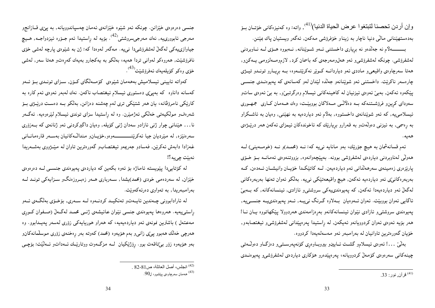وإن أردن تحصنا لتبتغوا عرض الحياة الدنيا)<sup>(41</sup>), واته: وه كهنيزهكاني خوّتـان بــوّ بەدەستهپننانى مالىّى دنيا ناچار بە زيناو خۆفرۆشى مەكەن, ئەگەر ويستيان ياك بميّنن.

بــــــــهلاّم نه جهلّدهو نه بریاری داخستنبی ئــهو شــویّنانه, نــهبووه هــۆی لــه نــاوبردنی لەشفرۆشى. چونكە لەشفرۆشى و ئەو ھەل(مەرجەي كە باسمان كرد, لازم<code>ومـەلزومى يـەكن</code>و, ههتا سهرچاوهي واقيعيو ماددي ئهو دياردانــه كــويْر نهكريّتـــهوه، بــه بريــارو تونــدو تيــژي چارەسەر ناكرېّت. داخستنى ئەو شوېّنانەو جەللّدە لېيّدان لەو كەسانەى كە پەيوەنىدى جنسىي پێکەوە ئەکەن, بەبىٰ ئەوەي ئيزنيان لە کاھينەکانىي ئېسلام وەرگرتبىٰ(و, بە بىٰ ئەوەي ساتو سەوداى كرين٫و فرۆشــتنـەكە بــه دەلآلـّــى مـــەلاكان بووبێــت، وەك ھــەمـان كــارى جمهــورى ئیسلامییه, که ئەو شوپْنانەی داخستووه, بەلام ئەو دیاردەیە بە نهیننی, وەیان بە ئاشىكراو به رهسمی, به ئیزنی دهولّهتو به قهرارو بریاریّك كه ئاخوندهكان ئیمزای ئهكهن ههر دریّپژهی

ئهم قسانهشمان به هيچ جۆرێك، بهو مانايه نىيه كه: نــه (محمـد)و نــه (خومــهينى) لــه هەولْي لەناوېردنى دياردەي لەشفرۆشى بوونە. بەيێچەوانەوە, بزووتنەوەي ئەمانــە بــۆ خــۆى يارێزەرى زەمينەي سەرھەلْدَانى ئەم دياردەيەن. لــە كاتێكـدا خۆيــان وانيشــان ئــەدەن, كــە بەربەرەكانىێى ئەو دياردەيە ئەكەن, ھيچ واقيعەتێكى نىيە. بەلكو ئەوان تەنھا بەربەرەكانى لەگەلْ ئەو دياردەيەدا ئەكەن, كە پەيوەندىيەكى سروشتى و ئازادى, ئينسانەكانە, كە بـەبىْ ئاگايي ئەوان بووبێت. ئەوان ئــەوەيان بــەلاوە گــرنگ نـي\_ـە, ئــەو پەيوەندىيــە جنســي4, پەيوەندى سروشتى و ئازادى نێوان ئينسانەكانەو بەرەزامەندى ھەردوولا پێكھاتووە يـان نـا! هەر بۆيە ئەوەي ئەوان كردوويانەو ئەيكەن, لە راستيدا پەرەپێدانى لەشفرۆشى٫ ئيغتصابەو, خۆيان گەورەترين تاوانيان له بەرامبەر ئەو مەسەلەيەدا كردووه.

بەلنىٰ …! ئەوەي ئىپسلامو گشىت ئىاپىينو بېروبىاوەرى كۆنەپەرسىتىيو دەزگىاو دەوڭەتىي چینەكانى سەرەوەى كۆمەلْ كردوويانە، پەرەپێدەرو ھۆكارى دياردەى لەشفرۆشى٫ پەيوەنــدى

جنسي دەرەوەي خێزانن. چونکه ئەو شێوە خێزانەي ئەمان چەسپاندوويانە, بە پێی قــازانجو مەرجى ئابوورىيە, نەك مەرجىسروشتى<sup>(42</sup>). بۆيە لە راستيدا ئەم جىۆرە ئيزدواجــە, ھــيـچ جیاوازییهکی لهگەلْ لەشفرۆشىدا نىيە. مەگەر لەوەدا كە: ژن بە شێوەي يارچە لەشى خۆي نافرۆشێت, هەروەكو لەوانى تردا هەيە، بەلكو بە يەكجارو بەيەك كەرەتو ھەتا سەر, لەشى خۆي وەكو كۆيلەيەك ئەفرۆشێت<sup>(43</sup>).

كەواتە ئايينى ئيسلاميش بەھەمان شێوەي كۆمـەلكَگاي كـۆن, سـزاي تونـدى بـۆ ئـەو کەسانە داناوە کە بەيئى دەستورى ئيسلام ئيغتصاب ناکەن. نەك لەبەر ئەوەي ئەم کارە بە کاریکی نامرۆڤانه، یان هەر شتیکی تری لەم چەشنە دەزانن, بەلکو بــه دەسـت دریْــژی بــۆ شەرەفو مولکیەتی خەلکی ئەژمیرن. وە لە راستیدا سزای توندی ئیسلام لیرەوەیە. ئەگەر نا… هیننانی چوار ژنبی ئازادو سهدان ژنبی کۆیله, وەیان داگیرکردنی ئەو ژنانەی کە بــەزۆری سەرەنێزە, لە مێرديان جيا ئەكرێنــــــــــــەوەو,خۆيــانو منداڭـەكانيان بەســەر قارەمانــانى غەزادا دابەش ئەكريْن, فەسادو جەريمەو ئيغتصابو گەورەترين تاوان لە ميدژووى بەشــەريدا نەبيّت چے په ؟!

له کۆتايىدا پێويسته ئاماژه بۆ ئەوه بکەين کە دياردەى پەيوەندى جنســى لــە دەرەوەى خیّزان, له سهردهمی خودی (محمد)پشدا, سـهرباری هــهر زهبـروزهنگو سـزایـهکی تونــد لــه بهرامبهريدا, به تهواوي دهرئهكهوێت.

له ئارادابووني چـهندين ئاپــهتو تـهئكيــد كردنــهوه لــه ســهري, بۆخـۆي بـهلگــهي ئــهو راستهیهبیه. ههروهها پهیوهندی جنسی نیوان عائیشهی ژنمی محمـد لهگـهلٌ (صـفوان کـوری مەعتەل ) باشترین نمونەي ئەو دیاردەيەيە، كە ھەراو ھوریايەكى زۆرى لەسەر پەيىدابوو. وە هەرچى خەلك ھەبوو يېڭى زانىيو بەم ھۆيەوە (محمد) كەوتە بەر رەخنەي زۆرى موسلمانەكانږ بەو هۆيەوە زۆر بېتاقەت بوو. رِۆژێكيان كە مزگەوت ووتارێىك ئـەداتو ئـەلێت: بۆچـى

<sup>&</sup>lt;sup>(42)</sup> انجلس، أصل العائلة، ص81-82 .<br><sup>(43)</sup> ههمان سهرچاوەي پێشور، ل90.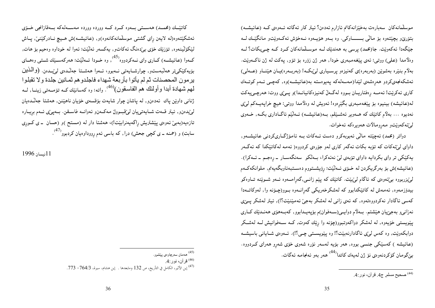موسلمانهکان سەبارەت بەخێزانەکانم ئازارم ئەدەن؟ ئيتر کار ئەگاتە ئەوەي كـە (عائيشـە) بتۆرىپو بچيتتەوە بۆ مالى بــــــــاوكى. وە بــەو ھۆيــەوە نــەخۆش ئەكــەوپىتو مانگێــك لــە جَيْگەدا ئەكەوپت. جا(محمد) يرسى بە ھەندیّك لــه موسـلمانەكان كــرد كــه چــى پكات؟ لــه وهلامدا (علمي) ووتي: ئەي يېنغەمبەرى خودا, ھەر ژن زۆرە بۆ تۆو, يەكت لە ژن ناكـەوپت. بهلام بنیره بهشوین (بهربهره)ی کهنیزهو پرسـیاری لیٌبکـه! (بهربـهره)پـان هیّنـاو (عــهلی) ئەشكەنجەيكردو ھەرەشەي لێدا(مەسەلەكە پەيوەستە بە(عائيشـە)وە, كەچـى ئــەم كوتــەك کاري ئەكريت! ئەمــە رەفتاريــان بــووه لەگــەلّ كەنيزەكانيانــدا)و يــيّ، ووت: هەرچــي4كت لە(عائیشە) بینیوه بۆ پێغەمبەری بگێرەوە! ئەویش لە وەلاّمدا ووتى: هیچ خراپەیــەکم لیێی نەدىيوە … بەلام كاتېنك كە ھــەوير ئـەشــێلم, بــە(عـائـيشــە) ئــەلێم ئاگــادارى بكــە, خــەوى لېرْئەكەوپتو مەرومالات ھەويرەكە ئەخوات.

دواتر (محمد) ئەچێتە مالْمى ئەبوبەكرو دەست ئــەكات بــە ئامۆژگــارىكردنى عـائـيشــەو, داواي لم>ِّئهکات که تۆپه بکات ئهگەر کارې لەو جۆرەي کردووه( ئەمە لەکاتێکدا کە ئەگـەر پەكێكى تر واي بكردايە داواي تۆبەي ليّ نەئەكرا، بـەلكو سەنگەسـار ــ رەجـم ــ ئــەكرا). (عائيشه)ش بۆ بەرگريكردن لە خـۆي ئــەلێت: رۆيشــتووم دەســتبەئاوبگەيەنم, ملوانكەكــەم لیٰپزربووه بیٰنٔموهی که ئاگام لیٰہینت. کاتیْك که ییْم زانــی,گەرامـــەوه ئـــەو شــویْنـه تــاوهکو بیدۆزمەوە, ئەمەش لە كاتێكدابوو كە لەشكرخەریكى گەرانــەوە بــوو(چـۆنە وا, لەوكاتــەدا كەسى ئاگادار نەكردووەتەوە, كە ئەي زانى لە لەشكر بەجىّ ئەمينىيىت؟!), ئيتر لەشكر پىيّى نەزانى وبەجىزيان ھيشتم. بــەلام دوايــى(ســەفوان)م بۆپەيــدابوو, كەبــەھۆى ھەنــدێك كــارى پینویستی خۆیەوه, له لەشکر دواکەوتبوو(چۆنە وا رێك كەوت, كــه ســەفوانیش لــه لـەشــكر دوابکەويت, وه کەس لوێي ئاگادارنەبينت؟! وه ييويسىتى چـي؟!). ئــەوەي شــايانى باسيشــە (عائیشه ) کهسێکی جنسی بووه, ههر بۆیه لهسهر نۆره شهوی خۆی شهرو ههرای کــردووه. بېّگومان كۆكردنەوەي نۆ ژن لەيەك كاتدا<sup>(44)</sup> ھەر بەو ئەنجامە ئەگات.

كاتێلك (محمــد) هەســتى بــەوه كــرد كــه وورده وورده مەســـەلـەكـه بــەقازانجى خــۆي ئەشكێتەوە(لە لايەن راي گشتبي موسلْمانەكانەوە)و, (عائىيشــە)ش ھــيچ نــادركێنىێ, يــاش ليْکۆلْيىنەوە, تۆزىيك خۆي بېردەنگ ئەکاتو, يەكسەر ئەلىيىت: ئەوا لە خوداوە وەحيىم بۆ ھات, کـموا (عـائـیشــه) کــاری وای نــهکردووه<sup>(45</sup>), وه خــودا ئــملّیّت: هـمرکـهســیّك شــتـی وهـــای بۆيەكێكى تر ھەلىبەستەر, چوارشــايەتى نــەبور، ئــەوا ھەشــتا جەلـْـدەي لـى\بـدەن. (والْمَـذين يرمون المحصنات ثم لم يأتوا بأربعة شهداء فاجلدو هم ثمـانين جلدة ولا تقبلوا لمهم شهادة أبدا وأولئك هم الفاسقون)<sup>(46</sup>. واته: وه كهسانيّك كـه تۆمــهتى زينــا, لــه ژنانی داوین یاك ئەدەنو, له ياشان چوار شايەت بۆقسەي خۆيان ناهيننن, هەشتا جەڭدەيان لمي بدهنو, ئيتر قـهت شـايـهتىيان لمي قبـوول مـهكـهنو ئـهوانــه فاســقن. بــهيي ع ئــهم بريـاره تازەيە(بەبى ئەوەي يېشترىش راگەيەنرابېيت!)، ھەشتا دار لە (مستح )و (حسان ــ ي كــورى سابت) و (حمنه ــ ی کچی جحش) درا, که باسی ئهم ږووداوهیان کردبوو<sup>(4)</sup>.

11نسان 1996

36

<sup>&</sup>lt;sup>(44)</sup> صحيح مسلم ج4. قر آن، نور :4.

<sup>&</sup>lt;sup>(45)</sup> هەمان سەرچاوەی پێشوو.

<sup>&</sup>lt;sup>(46)</sup> قر آن، نور :4.

<sup>&</sup>lt;sup>(47)</sup> إبن الأثير، الكامل في التأريخ، ص 132 ومابعدها . إبن هشام، سيرة، 764/3– 773.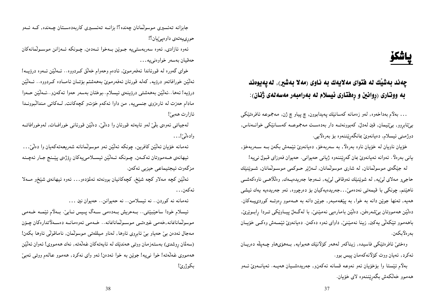## پاشكۆ

چەند بەشێك لە فتواى مەلايەك بە ناوى (مەلا بەشير), لەپەيوەند به ووتاری (ړوانين و ړهفتاری ئيسلام له بهرامبهر مهسهلهی ژنان):

… بەلام بەداخەوە, لەو زەمانە كەسانىڭ پەيدابوون, چ پياو چ ژن, مەجموعە ئافرەتىنكى بیێئابروو, بیێئیمان, قین لەدلٌ, کەبورنەتــە دار بەدەسـت مـەجموعــە کەســانێکی خوانــەناس, دوژمىنى ئېسلام, دەيانەويْ بمانگەرێننەوە بۆ بەرەلايى.

خۆيان ناويان له خۆيان ناوه بەرەلاً, بە سەربەخۆ, دەيانەويْ ئَيْمەش بكەن بــه ســەربەخۆ, يانى بەرەلاً. ئەوانە ئەيانەويْ بان گەرێننەوە ژيانى حەيوانى. حەيوان فەوزاى قبولْ نىيە!

له جيْگەي موسولْمانان, له شارى موسولْمانان, لــهژيْر حـوكمى موســولْمانان, شــوێنێك حاجى٫ مەلاي لىێيە, لە شوێنێك ئەوقافى لىێيە, ئـەوجا جەرىيدەيــەك, وەلڵلاھــى ناوەكەشــى ناهیننم, چونکی با قیمەتی نەدەمیْ. . .جەریدەیەکیان بۆ دەرچووە, ئەو جەریدەیە یەك ئیشی همهیه, تهنها جویْن دانه به خوا, به پیْغهمبهر, جویْن دانه به هــهموو رهوتــه کوردیپــهکان. دهٽينن ههمووتان بي شهرهفن, دهٽينن بامارهيي نهمينني، با لهگمل پيـاوێکي تــردا رابــوێري. باههموو تێکەلٽی یەکبن, زینا نەمێنێ, داوای ئەوە دەکەن. دەيانەوێ ئێمــەش وەکــی خۆیــان بەرەلاپكەن.

وەختىن ئافرەتتكى فاسيدە, زيناكەر لەھەر كۆلانتك ھەبوايە, بـەھۆىھاو چـەپلە دەريـان ئەكرد, ئەيان ووت كۆلانەكەمان پيس بوو.

بەلاّم ئیّستا وا بۆخۆیان ئەو نەوعە قسانە ئەكەن٫٫ جەریدەشـیان ھەپـە. ئەيانــەوێ ئــەو هەمـوو خەلكەش بگەرێننـەوە لاى خۆيـان.

جابزانه تەئسیری موسولْمانان چەندە؟! بزانــه تەئســیری کاربەدەســتان چــەندە, کــه ئــەو حوري پهتهي داوهييٽيان؟!

ئەوە ئازادى, ئەوە سەربەستىيە جـوێن بــەخوا ئــەدەن, چـونكە ئــەزانن مـوســولْمانـەكان حەقيان بەسەر خواوەنى يە...

خوای گەورە لە قورئاندا ئەفەرموێ, ئادەم وحەوام خەلق كىردووە… ئــەلێن ئــەوە درۆپــە! ئەلْيْن خورافاتەو درۆيە, كەلە قورئان ئەفەرموێ بەھەشتم بۆتـان ئامــادە كــردووە… ئــەلْيْن درۆيە! ئەھا…ئەلێن بەھەشتى درۆينەي ئيسلام…بوختان بەسەر حەوا ئەكەنو…ئـەلێن حـەوا مادام حەزت له ئارەزوى جنسىيە, من داوا ئەكەم خۆتو كچەكانت, لـەكاتى مندالبْوونـدا ئازارت ھەبىًّ!

لەجیاتی ئەوەی بلّیٰ لەو ئاپەتە قورئان وا دەلْیٰ, دەلْیْن قورئانی خورافــات, لەوخورافاتــە وادهٽيٰ''…

ئەمانە خۆيان ئەلْيْن كافرين, چونكە ئەلْيْن ئەو موسولْمانانە شەريعەتەكەيان وا دەلْيْ. . . ئيهانەي ھــەمووتان ئەكــەن, چـونكە ئــەلێن ئيســلامىيەكان رۆژەي پێــنج جـار ئەچــنە مزگەوت ئيجتيماعى حيزېي ئەكەن.

ئەلنّىن كچە مەلاو كچە شێخ, كچەكانيان بوونەتە ئەلمۆدەو… ئەوە ئىھانەي شێخرو مــەلا ئەكەن. . .

ئهمانه نه کوردن.. نه ئیسلامن.. نه حهیوانن.. حهیوان نین ...

ئیسلام خودا ساحیْبیْتی… بــهحریش بــهدهمی ســهگ پــیس نــابیْ. بــهلاّم ئیْمــه خــهمی موسولگانانمانه,خەمبی غیرەتسی موسـولّمانانمانـ. خــهمبی ئەوەمانــه دەســەلاتدارەكان چـۆن مەجال ئەدەن بى حەياو بى ئابروى ئاوھا, لەناو مىللەتى موسولىان, ناماقولى ئاوھا بكەن! (سەلمان رِوشدى) بەستەزمان ووتىي ھەندێك لە ئايەتەكان غەلەتە, نەك ھەمووى! ئەوان ئەلێن ههمووي غهانهته! خوا نييه! جوێن به خوا ئهدهن! ئمو واي نهكرد, ههموو عالمه ووتي ئهبيّ بكوژرێ!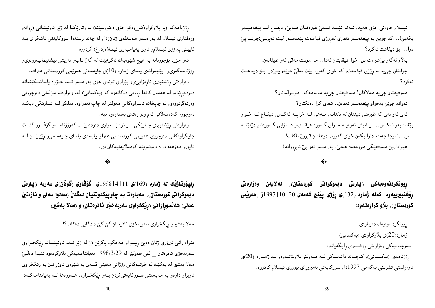ئیسلام خاوەنی خۆی هەيە, ئــەمما ئێمــە ئــەبیّ غیرەتمــان هــەبیّ, دیفــاع لــە پێغەمبــەر بكەين!. . .كە جوێن بە پێغەمبەر ئەدرێ لەرۆژى قيامەت پێغەمبەر لێت ئەپرسێ:جوێنم پێ درا… بۆ دىفاعت نەكرد؟

بەلام ئەگەر بى خيرەت بن, خوا عيقابتان ئەدا… جا موستەحەقى ئەو عيقابەن. جوابتان چی4 له رۆژی قیامهت, که خوای گەوره پیّت ئەلمیّ:جوینم پــی٘درا بــۆ دیفاعــت نەكرد؟

مەوقيفتان چىيە مەلاكان؟ مەوقيفتان چىيە عالەمەكە, موسولْمانان؟ ئەوانە جوێن بەخواو پێغەمبەر ئەدەن.. ئەدى كوا دەنگتان؟ ئەي ئەوانەي كە غيرەتى دينتان لە دلّدايە, نــەھى لــە خراپــە ئەكــەن, ديفــاع لــە خــواو پيّغهمبهر ئهكمن. . . پـانيش ئەوەپــه خـواي گــهوره عـيقــابو عــهزابي گــهورەتان دێنێتــه سەر….ئەوجا چەندە داوا بكەن خواي گەورە, دوعاتان قبوولٌ ناكات! هیوادارین مەوقفێکی مووەحەد هەبیْ, بەرامبەر ئەو بیْ ئابڕووانە!

رِوونکردنهوەيەکى (پارتى ديموکراتى کوردستان), لەلايەن وەزارەتى رۆشنبىرىيەوە, كەنە ژمارە (132)ى رۆژى پِيْنج شەمەي 20|10|1997ز (ھەربىمى کوردستان), بلاو کراوهتهوه:

ږوونکردنهوهیهك دەربارەي ژمارە(20)ى بلاّوكراوەي (يەكسانى) سەرچاوەيەكى وەزارەتى رۆشنبيرى رايگەياند: ږۆژنامەي (يەكســانى), كەچـەند دانەيــەكى لــە ھــەولێر بلاّوبۆتــەوە, لــە ژمــارە (20)ى ناوەڕاستى تشرينى يەكەمى 1997دا, سووكايەتى بەبيروړاى پيرۆزى ئيسلام كردووە.

ړۆژنامەكە (يا بلاوكراوەكە\_وەكو خۆى دەنووسێت) لە وتارێكدا لە ژێر ناونیشانى (ږوانین وړەفتارى ئيسلام لە بەرامبەر مەسەلەى ژنان)دا, لە چەند رِستەدا سووكايەتى ئاشكراى بــە ئايينى پيرۆزى ئيسلامو ناوى پەيامبەرى ئيسلام(د .خ) كردووه.

ئەو جۆرە بۆچوونانە بە هيچ شێوەيەك ناگونجێت لە گەلٌ دابو نەرىيتى نيشتيمانپەروەرىو رِۆژنامەگەرىو, پێچەوانەي ياساي ژمارە (10)ى چاپەمەنى ھەرێمى كوردستانى عيراقە. وەزارەتى رِۆشنبيرى نارِەزايىى وبێزارى توندى خۆى بەرامبەر ئــەم جـۆرە ياساشــكێنيانە دەردەبږیتو له هەمان كاتدا ږوونى دەكاتەوە كە (يەكسانى) لەم وەزارەتە مۆلەتى دەرچوونى وەرنەگرتووەو, لە چاپخانە ناسراوەكانى ھەولێر لە چاپ نەدراوە, بەلكو لــە شــارێكى ديكــە دەرچووە كەدەسەلاتى ئەم وەزارەتەي بەسەرەوە نيە.

وەزارەتى رۆشنبيرى جـارێكى تـر ئومێـدەوارى دەردەبرێت كەرۆژنامــەو گۆڤـارو گشــت چاپکراوهکانی دەرچووی هەرێمی کوردستانی عیراق پابەندی یاسای چاپەمەنى و رێزلێنان لــه ئايينو مەزھەبو دابونەريتە كۆمەلايەتيەكان ببن.

### -\*

رپپپۆرتاژنيك لە ژمارە (169)ى 11|14|1998ى گۆڤارى (گولان)ى سەربە (پارتى ديموكراتي كوردستان), سەبارەت بە چاوپيْكەوتنيان لەگەلْ (سەلوا عەلى و نازەنين عهلی) هه نُسورِاوانی (رِیْکخراوی سهربِهخوْی نافرهتان) و (مهلا بهشیر)

### مەلا بەشىرو ڕێكخراوى سەربەخۆى ئافرەتان كێ كێ دادگايى دەكات؟!

فتوادارانی تیروّری ژنان دهبیّ رِیسواو مهحکوم بکریّن (( له ژیّر ئـهم ناونیشـانه رِیّکخـراوی سەربەخۆی ئافرەتان \_ لقى ھەولىێر لە 1998/3/29 بەياننامەيەكى بلاّوكردەوە تىێيدا دەڭـێ مـهلا بـهشیر لـه یـهکیْك لـه خوتـبـهکانـی ڕۆژانـی هـهیـنـی قسـهـی بـه شیْنوهی نـاوزړانـدن بـه ڕێکخراوی ناوبراو داوهو به مەبەستى سووكايەتىكردن بىەو رِيْكخىراوه, ھـەروەھا لــە بەياننامەكــەدا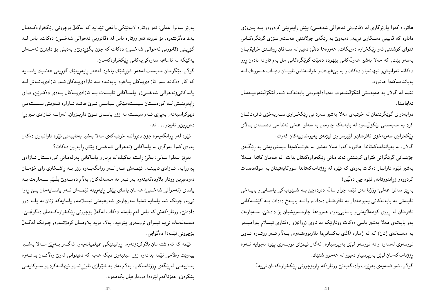هاتووه کەوا پارێزگاری لە (قانوونی ئەحوالی شەخسی) پێش ڕاپەڕینی کردووەو بــه پــیرۆزی داناوه که قابیلی دهسکاری نی۵په, دهیهویٰ به رێگەی جولاندنی ههستو سۆزی گوێگرەک|نی فتوای کوشتنی ئەو ریکخراوه دەربکات, ھەروەھا دەلْیٌ دەبیْ لە ســەلمان روشــدی خراپتریــان بهسەر بینت, که مەلا بەشیر هەولْهکانی بینھودە دەبینت گوینگرەکانی مل بەم تاوانە نادەن روو دهکاته ئهوانیش و ئیهانهیان دهکات و به بین غیرهت و خواندانس ناویان دهبات هـمروهك لـه بەياننامەكەدا ھاتووە.

ئیْمه له گولاْن به مەبەستى لیْکۆلْینــەوەو بەدواداچـوونى بابەتەکــە ئــەم لیْکۆلْینـەوەيــەمان ئەنجامدا .

دوابەدوای گوێگرتنمان لە خوتبەی مەلا بەشیر سەردانى رێکخـراوی ســەربەخۆی ئافرەتانمــان کرد به مەبەستى لێکۆڵێنەوه لە بابەتەکە چاومان بە سەلوا عەلى ئەندامى دەسـتەي بـالاي رِیْکخراوی سەربەخۆی ئافرەتانو لیْپرسراوی لیژنەی پەيوەندیپەکان کەوت.

گولان: له بهیاننامهکهتاندا هاتووه کهوا مهلا بهشیر له خوتبهکهیدا ویستوویهتی به رِیْگـهی جۆشدانی گویکرانی فتوای کوشتنی ئەندامانی رِیکخراوهکەتان بدات. له هەمان کاتدا مــهلا بهشیر ئیّوه تاوانبار دهکات بهوهی که ئیّوه له رِوْژنامهکهتاندا سووکایهتیتان به موقهدهسات کردووه و زړاندووتانه, ئینوه چی دهانین؟

بەرِیز سەلوا عەلی: رِوْژنامەی ئیْمە چوار سالْه دەردەچێ بــه شــیْوەیـەکی یاســاییو بایــەخی تایبهتی به بابهتهکانی پهیوهنددار به ئافرهتـان دهدات, واتــه بایــهخ دهدات بــه کێشــهکانی ئافرەتان لە رووى كۆمەلايەتىىو ياسايىيەوە, ھەروەھا چارەسەريشيان بۆ دادەنى، سـەبارەت بهو بابهتهی مهلا بهشیر باسی دهکات ووتاریکه به ناوی (روانینو رهفتاری ئیسلام بهرامبــهر به مەسەلەي ژنان) كە لە ژمارە 20ى يەكسانىدا بلاوبووەتــەوە, بــەلام ئــەو ووتــارە نــاوى نووسەرى لەسەرە واتە نووسەر لىێى بەرپرسيارە, ئەگەر ئيمزاى نووسەرى پێوە نەبوايە ئــەوە ږۆژنامەكەمان لىێى بەرپرسيار دەبوو لە ھەموو شتێك.

گولان: ئەو قسەيەي بەرێزت وادەگەيەنى ووتارەكە راوبۆچوونى رێكخراوەكەتان نىيە؟

بەړێز سەلوا عەلى: ئەو ووتارە لايەنێكى واقعى تێدايە كە لەگەلْ بۆچوونى ڕێكخراوەكـەمان یهك دهگریتنهوه, بۆ نموونه ئـهو ووتاره باس لـه (قانوونى ئـهحوالى شـهخسى) دهكات, باس لــه گۆرپنىي (قانوونى ئەحوالى شەخسى) دەكات كە چۆن بگۆردرى و بەدىلى بۆ دابنرى ئەمــەش یەكێكە لە ئامانجە سەرەكىيەكانى رێكخراوەكەمان.

گولان: بێگومان مەبەست لەھەر شۆرشێك ياخود لەھەر راپەرينێك گۆرينى ھەندێك ياســايە که کار دهکاته سهر ئازادییهکان پاخود پابهنـده بـه ئازادییـهکان ئـهو ئازادییانـهش لـه یاساکانی(ئەحوالی شەخسی)و یاسـاکانی تایبـەت بـه ئازادیپـهکان بـهدی دەکـرینن, دوای رِاپەرِینیش لــه کوردسـتان سیسـتەمیکی سیاســی نــویٰ هاتــه ئــاراوه ئــهویش سیســتهمی ديموكراسيهته, بهپێي ئـهم سيسـتهمه زۆر ياسـاي نـوێ دارِيــژران, لهوانــه ئـازادي بـيرورِا دەرېريىنو ئايينو… تد.

ئینوه لهو روانگهیهوه چۆن دەرواننه خوتبەكەی مەلا بەشیر بەتايبەتى ئیْوه تاوانباری دەكەن بەوەى كەوا بەرگرى لە ياساكانى (ئەحوالى شەخسى) پێش ڕاپەڕين دەكات؟

بەرێز سەلوا عەلى: بەلْیْ راستە يەكێك لە بريارو ياساكانى پەرلەمانى كوردسـتان ئــازادى پیروړایه, ئــازادي ئايينـــه, ئَيْمــهش هــهر لــهو ږوانگهيــهوه زۆر بــه ږاشــكاوي ږاي خۆمــان دەردەبرِين ووتار بلاّودەكەينەوە بەرانبەر بە مەسەلەكان, بەلاّم دەمــەوێ بلْـێم ســەبارەت بــە ياساي (ئەحوالى شەخسى) ھەمان ياساي پێش راپەرِينە ئێمـەش ئـەو ياسـايەمان پـێ رِەوا نىيە, چونكە ئەم ياسايە تەنيا سەرچاوەى شەرعيەتى ئيسلامە, ياسايەكە ژنان بە پلــە دوو دادەنىێ, ووتارەكەش كە باس لەم بابەتە دەكات لەگەلْ بۆچوونى رِيْكخراوەكـەمان دەگونجـێ, مەسەلەيەك نىيە ئېمزاي نووسەرى پێوەيە, بەلام بۆيە بلاومــان كردۆتــەوە, چــونكە لەگــەلْ بۆچوونى ئېمەدا دەگونجىن.

ئیْمه که ئەم شتەمان بلاوکردۆتەوە, روانینیْکی عیلمیانەیەو, ئەگـەر بـەرِیْز مــەلا بەشـیر بیمونیت وهلامی ئیْمه بداتموه زوّر مینبەری دیکه هەیه که دەپتوانی لەوێ وەلاًممـان بداتــەوه بەتايبەتى لەړێگەى ڕۆژنامەكان, بەلاّم نەك بە شێوازى ناوزړاندنو ئيھانــەكردنو ســوكايەتى يێکردن٫ حەزناکەم لێرەدا دووبارەيان بکەمەوە.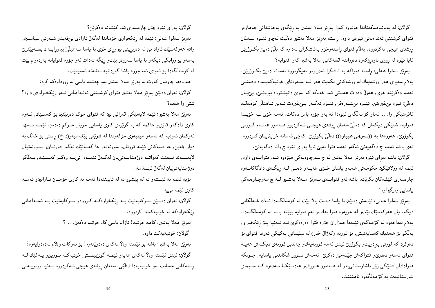گولان: له بهیاننامـهکەتاندا هاتووه کەوا بـەرِیْز مـەلا بـەشیر بـه رِی٘گـەی بـەجۆشدانـی جـەمـاوەر فتوای کوشتنی ئەندامانی ئیّوەی داوه, رِاسته بەرِیّز مەلا بەشیر دەلْیّت لەچاو ئیّـوه ســەلمان ړوشدی هیچی نهکردووه, بهلام فتوای ړاستهوخوّو بهئاشکرای نهداوه که بلٌیٰ دهبیٰ بکـوژرینن ئایا ئینوه له ږووی ناوهږۆکەوه دەږواننه قسەکانی مەلا بەشیر کەوا فتوایە؟

بهږێز سهلوا عـهلي: ڕاستـه فـتواکـه بـه ئـاشکرا نـهدراوهو نـهايگوتـووه ئـهمـانـه دهبێ بکــوژرێن, بهلام سەيرى هەر ووشەيەك لە ووشەكانى بكەيت هەر لــە ســەرەتاى خوتبەكەيــەوە دەبينـــى ئەمە دەگریتتە خۆی, ھەولْ دەدات ھەستى ئەو خەلكە كە لەوێ دانیشتووە بېزوێنێ, پێڀان دەلْيّ: ئێوە بێغیرەتن, ئێ؎وە بێشــەرەڧن, ئێــوە ئەگــەر بــێغیرەت نــەبن نــاھێڵن كۆمـەڵـﻪ ئافرەتێکى وا… لەناو كۆمەڵگەى ئێوەدا ئە بەو جۆرە باس دەكات. ئەمە خۆى لــە خۆيــدا فتوایه. شتیکمی دیکهش که دهلٌیٌ سهلمان روشدی هیچـی نــهکردبوو هــهموو عـالــهم گــووتـی بکوژرێ, هەروەها بە ((سەریحی عیبارە)) دەلىّى بکوژرێ, كەچى ئەمانە خراپتريـان كــردووە, ئەي باشە ئەمە چ دەگەيەنى ئەگەر ئەمە فتوا نەبى ئايا بەراي ئێوە چ واتا دەگەيەنىٚ.

گولان: باشه بهرای ئینوه بهریز مهلا بهشیر له چ سهرچاوهیهکی هیزهوه ئـهم فتوایـهی داوه, ئینمه له وولاتینکین حکومەتى هەیەو یاسای خــۆی هەپــەو دەبــێ لــه رێگــەی دادگاکانــەوە چارەسەرى كێشەكان بكرێت٬ باشە ئەو فتواپىەى بىەرێز مىەلا بەشىير لــە چ سەرچـاوەيەكى ياسايي وەرگيراوە؟

بەرِیْز سەلوا عەلی: ئیْمەش دەلبْین با باسا دەست بالا بیّت لە کۆمەلگەدا نــەك خــەلْکانى دیکه. یان هەرکەسێك بێتو لە خۆیەوه فتوا بداتو ئەم فتوایه ببێته یاسا لە کۆمەلٚگەدا, بهلام بهداخهوه له کۆمەگەی ئی٘مەدا ھەزاران جۆرە فتوا دەردەکرێ نــه تــەنیا بــۆ رێکخــراو, بەلکو بۆ ھەندىك كەساپەتىش, بۆ نموونە (كەژالْ خدر) لە سلێمانى يەكێكى ئەوھا فتواى بۆ دەركرد كە لووتىي بېردرێتو بكوژرێ ئيدې ئەمە نموونەيەكو چەندىين نموونەي دىكـەش ھەيــە فتوای لەسەر دەدرێو فتواکەش جێبەجێ دەکرێ. ئەمەش سنوور شکاندنی یاسایە, چــونکە فتوادادان شتیکی زۆر ناشارستانی یهو له هـهموو عـورفو عادهتیکـا بـهدهره کـه سـیمای شارستانيەت بە كۆمەلگەوە نامێنێت.

گولان: بەڕاى ئێوە چۆن چارەسەرى ئەم كێشانە دەكرێن؟

بەرتیز سەلوا عەلی: ئیْمە لە ریْکخراوی خۆماندا لەگەلْ ئازادى بیْ(قەيدو شـەرتىي سياسـين, واته ههرکهسیّك ئازاد بیّ له دهربرِینی بیرورِای خوّی با یاسا نـههیّلیّ بیرورِایـمك بسـمپیّنریّ بهسهر بیروړایکی دیکهو با بیاسا سهروهر بینتو رینگه نهدات ئهو جۆره فتوایانه بهردهوام بینت لە كۆمەلگەدا بۆ ئەوەي ئەم جۆرە پاشا گەردانيە تەشەنە نەسێنێت.

همروهها چاومان کموت به بهڕێز مملا بهشیر بهم چهشنه باسی له ڕووداوهکه کرد: گولان: ئەوان دەلٽين بەرِيز مەلا بەشیر فتواى كوشــتنـى ئەنــدامـانـى ئــەو رِيْكخــراوەى داوە؟ شتبي وا هەيە؟

بهرِیْز مهلا بهشیر: ئیْمه لایەنیْکی قەزائی نین که فتوای حوکم دەربیْنین بۆ کەسـێك, ئــەوە کاری دادگهو قازیو حاکمه که به گویرهی کاری باسایی خویان حـوکم دهدهن, ئیمـه تـمنها ئەركمان ئەوەبيە كە لەسەر مىينبەرى مزگەوتدا لە شويْنىي پيّغەمبەر(د .خ) رِاستىي بۆ خەلّك بە دیار بخەین, جا قسەکانى ئێمە قورئانو سوونەتە, جا كەسانێك ئەگەر قورئـانو سـوونەتيان لاپەســەند نــەبیّت كەواتــە دوژمنايــەتىيان لەگــەلّ ئی٘مــەدا نىيـــە وەكــو كەســیّك, بــەلْكو دوژمنايەتىيان لەگەلْ ئىسلامە.

بۆيه ئێمه نه ئێستهو نه له پێشوو نه له ئاييندهدا ئهمه به کاری خۆمــان نــازانينو ئـهمــه كارى ئێمه نييه.

گولان: ئەوان دەڭيىن ســوكايەتيت بــە ڕێكخراوەكــە كــرووەو ســوكايەتيت بــە ئـەنــدامـانـى ږێکخراوهکه له خوتبهکهتدا کردووه.

بەرنیز مەلا بەشیر: كامە خوتبە؟ نازانم باسى كام خوتبە دەكەن... ؟

گولان: خوتبەيەكت داوە.

بەرِيْز مەلا بەشير: باشە بۆ ئَيْستە وەلامەكەي دەدرىيتەوە؟ بۆ ئەوكات وەلام نەدەدرايەوە؟ گولان: ئیدی ئیسته وەلامەكەی ھەپەو ئیممە گوێبیســتی خوتبەكــه بــووین٫و یــەكیْك لــه رِستەكانى جەنابت لەو خوتبەيەدا دەلٽيى: سەلمان رِوشدى ھيچى نــەكردووە تــەنيا ووتويــەتى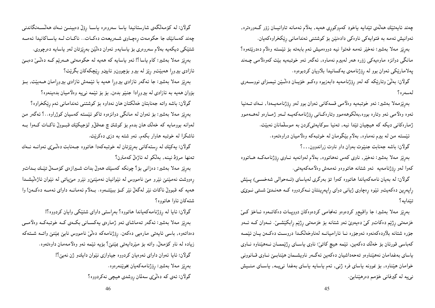چەند ئايەتىنك ھەلّەي تىندايە ياخود كەم٫وكورى ھەيە, بەلاّم ئەمانە تاوانيــان زۆر گــەورەترە, ئەوانیش ئەمە بە فتواپەكى ناوەكى دادەنێن بۆ كوشتنى ئەندامانى رێكخراوەكەپان. بەرێز مەلا بەشیر: نەخێر ئەمە فەتوا نيە دووەميش ئەم بابەتە بۆ ئێستە وەلام دەدرێتەوە؟ مانگی دوانزه ماوهیهکی زۆره هەر لەبیرم نەماوه, ئەگەر ئەو خوتبەيە بێت کەوەلامی چـەند پەلامارێكى ئەوان بوو لە رِۆژنامەي يەكسانيدا بلاّويان كردبوەوە.

گولان: بەلْيْ وتارىيكە كە لەو رۆژنامەيە دابەزيوە وەكـو خۆپـان دەڭـيْن ئىيمـزاي نووســەرى لەسەر ە؟

بەرپیزمەلا بەشیر: ئەو خوتبەيە وەلامىي قسەكانى ئەوان بوو لەو رِۆژنامەيــەدا, نــەك تــەنيا ئەوە وەلامىي ئەو وتارە بووە,بەلكوھەموو وتارەكـانى ڕۆژنامەكەيــە لــەو ژمــارەو لەھــەمـوو ژمارهکانی دیکه که هیچیان تیّدا نیه, تهنیا سوکایهتیکردن به موسلمانان نهبیّت. ئینسته من له بیرم نهماوه, بهلام بینگومان له خوتبهکه وهلامیان دراوهتهوه.

گولان: باشه جهنابت جنێوت بهوان داو ناوت زراندوون. . .؟

بەرپیز مەلا بەشیر: نەخیر, ناوی كەس نەھاتووە, بەلام لەوانەيە نــاوی رِۆژنامەكــە ھــاتووە كەوا لەو ڕۆژنامەيە ئەو شتانە ھاتووەو ئەمەش وەلامەكەيەتى.

گولان: له بهیان نامهکهیاندا هاتووه کهوا تۆ بهرگری لهیاسای (ئـهحوالی شهخســی) پــێش راپهرين دهکهيتو ئيموه رهچاوي ژياني دواي راپهرينتان نـهکردووه کـه ههنـدي شـتي نــوي،ي تێدابه؟

بهږیز مەلا بەشیر: جا واقیعو کردەوەو ئەنجامىي کردەوەکان دووپات دەکاتـەوە ئـاخۆ کـی خزمەتىي رِژێم دەكاتو كێ دەيەوێ ئەو شتانە بۆ خزمەتىي رِژێم رابكێشــێ. ئــەوان كــە ئــەو جۆره شتانه بلاودەكەنەوە ئەوجۆرە نــا ئارامـيانــه لەناوخەلكـدا دروســت دەكــەن يــان ئـێمــە کەباسى قورئان بۆ خەلگ دەكەين, ئىنمە ھيىچ كاتىٰ: ناوى ياســاى رِژْيْممــان نــەھينناوە نــاوى یاسای بهغدامان نههینناوهو تهحهداشیان دهکهین ئهگمر ناویشــمان هیننابــیٰ نــاوی قــانوونـی خوامان هینناوه, بوّ نموونه باسای فره ژنبی, ئـهم باسایه باسای بـهغدا نـیبیـه, باسـای مـنــیش نې په له گیرفانې خوْمم دەرهیننابیْ.

گولان: لە كۆمەلگەى شارستانيدا ياسا سەروەرە ياســا رِۆلْ دەبينــێ نــەك ھەلْســەنگاندنى چەند كەسانێك جا حكومەت رِەچـاوى شــەرىيعەت دەكــات.. ناكــات لــە ياســاكانيدا ئـەمــە شتینکی دیکهیه بهلام سهروهری بۆ یاسایهو ئهوان دهلیّنن بهرِیزتان لهو یاسایه دهرچووی. بەرپیز مەلا بەشیر: کام یاسا؟! ئەو یاسایە کە ھەیە لە حکومەتى ھــەرپیم کــە دەلـْــیٚ دەبــیْ ئازادی بیروړا هەبینتو ږیز له بیرو بۆچوونو ئايینو ږیچکهکان بگرینت؟ بهږیز مهلا بهشیر: جا ئهگەر ئازادی بیروړا هەیه با ئیْمەش ئازادی بیروړامان هـــهبینت, بــۆ بۆوان هەيە بە ئازادى لە بيروړادا جنێو بدەن, بۆ بۆ ئێمە نىيە وەلاّميان بدەينەوە؟ گولان: باشه واته جەنابتان خەلكتان هان نەداوه بۆ كوشتنى ئەندامانى ئەم رِيْكخراوه؟ بەړتیز مەلا بەشیر: بۆ ئەوان لە مانگی دوانزەوە تاكو ئینستە كەسپان كوژراوە…؟ ئەگەر من لەوانە بوومايە كە خەلگ هان بدەم بۆ كوشتن چ عەقلْ(و لۆجيكێك قبــوولْ ناكــات كــەوا بــە ئاشکرا له خوتبه هاوار بکهم, ئهو شته به دزی دهکریت.

گولان: يەكێك لە ڕستەكانى بەڕێزتان لە خوتبەكەدا ھاتووە جـەنابت دەلـّـێى ئەوانــە نــەك تەنھا مرۆۋ نينە, بەلكو لە ئاژەلْ كەمترن؟

بەرپیز مەلا بەشیر: دەزانى بۆ؟ چونكە كەسپىك ھەولْ بدات شــیرازەي كۆمــەلْ تـیْــك بــداتو رِهووشت نهمیننیٰ نیرو میٰ نامووس له نیوانیان نهمیننیٰو نیرو میٰبیاتی له نیوان ئاژهاێیشــدا ههیه که قبوولٌ ناکات نیْر لهگهلٌ نیْر کــۆ ببیْتــهوه. بــهلاّم ئـهمانــه داوای ئـهمــه دهکــهن! وا شتهكان ئاوا هاتووه؟

گولان: ئايا له رِۆژنامەكەياندا هاتووه؟ بەرِاستى داواى شتینكى وايان كردووه؟! بەرپیز مەلا بەشیر: ئەگەر تەماشاى ئەو ژمارەي يەكســانىي بكــەي كــە خوتبەكــە وەلامـــى دەداتەوە, باسى ئايەتىي مارەيىي دەكەن. رِۆژنامەكە دەلْيٌ نامووس نابێ بمێنێ واتــه شــتەكە زیاده له ناو کۆمەلٌ, واته بۆ میْردایەتی بمیْنیْ؟ بۆیه ئیْمه ئەو وەلامەمان داوەتەوە. گولان: ئايا ئەوان داواي ئەوەيان كردووه جياوازي نيوان دايكو ژن نەبىي؟! بەرِتِيز مەلا بەشىر: ڕۆژنامەكەيان بخوتپنەرەوە. گولان: ئەي كە دەلىْيى سەلمان روشدى ھىيچى نەكردووە؟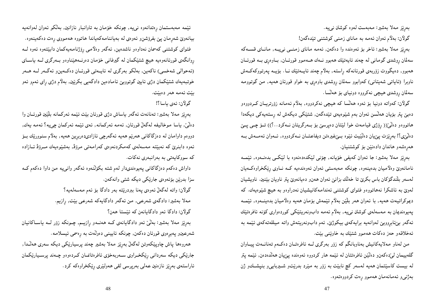بەرِيْز مەلا بەشير: مەبەست لەرە كوشتن نىيە.

گولان: بەلام ئەوان ئەمە بە ماناي زمنىي كوشتنى تێدەگەن!

بەرِیز مەلا بەشیر: ئاخر بۆ ئەوەندە وا دەكەن, ئەمە مانای زمنــی نی۵یــە, مانــای قســەكە سەلمان روشدى گومانى لە چەند ئايەتێك ھەبوو نــەك ھــەموو قورئــان, بــاوەرى بــە قورئــان هەبوو, دەيگووت زۆربەي قورئانەكە راستە, بەلام چەند ئاپەتێك نــا. بۆپــە يـەرتووكەكــەش ناوبرا (ئاپاتی شەپتانی) کەوابوو سەلمان روشدی باوەرِی بە خواو قورئان ھەيە, من گوتوومە سەلمان روشدى ھيچى نەكرووە دونياي بۆ ھەلسا.

گولان: کەواتە دونیا بۆ ئەوە ھەلسا کە ھیچی نەکردووە, بەلام ئەمانە زۆرتریـان کــردووەو دەبىێ پتر بۆيان ھەلىّسن ئەوان بەم شێوەيەي تێدەگەن, شتێکى ديكەش لە رِستەيەكى ديكەدا هاتووهو دهٽن(( رِۆژی قيامەت خوا لَيْتان دەپرسێ بۆ بــەرگريتان نــەکرد..؟)) تــۆ چــی پــێ دهلُّێی؟! بەرِیْزت پیٚیان دەلێیت ئی٘وە بــیْ(عیرەتن دیفاعتــان نــەکردووە, ئــەوان ئـەمــەش بــە هەرەشەو ھاندان دادەنێن بۆ كوشتنيان.

بەرتیز مەلا بەشیر: جا ئەوان كەيفى خۆيانە, چۆنى لینكدەدەنەوە با لینكسى بدەنــەوە, ئینمــە نامانەوێ وەلاميان بدەينەوە, چونكە مەبەستى ئەوان ئەوەندەيە كـە نـاوى رێكخراوەكـەيان لەسەر بلندگۆكان باس بكرێ تا خەلك بزانێ ئەوان ھەنو دەيانەوێ پتر ناويان بێنين. ناويشيان لموین به ئاشکرا نههاتووهو فتوای کوشتنبی ئەندامەکانیشیان نەدراوەو بە هیچ شیوەیەك. کە ديموكراتيەت ھەيە, با ئەوان ھەر بلێن بەلاّم ئێمەش بۆمان ھەيە وەلاّميان بدەينــەوە, ئێمــە پەيوەنديمان بە مەسەلەى كوشتن نىيە, بەلام ئەمە دابونەريتێكى كوردەوارى كۆنە ئافرەتێك ئەگەر بېئابرووبى لەوانەيە برايەكەي بيكوژىّ, ئەم دابونەريتەش واتە ميللەتەكەي ئێمە بە ئەخلاقەو حەز دەكات ھەموو شتێك بە خاوێنىي بێت.

من لەناو مەلاپەكانيش بەناوبانگم كە زۆر بەرگرى لــە ئافرەتــان دەكــەم تەنانــەت پيــاوان گلەييمان لىێدەكەن٫ دەلێن ئافرەتتان لە ئێمە ھار كردووە ئەوەندە پێيان ھەلڵدەدەن, ئێمە پتر له بیست کاسپتمان هەیه لەسەر کچ نابیّت به زوّر به میّرد بدریّتو شـیرباییو بنپشــكو ژن بەژنى و ئەمانەمان ھەموو رەت كردووەتەوە.

ئیْمه مەبەستمان رِەتدانەوە نىيە, چونكە خۆمان بە تاوانبار نازانین, بەلْكو ئەوان لەوانەيە بیانموێ شەرمان پێ بفرۆشن٫ ئەوەي لە بەياننامەكەياندا ھاتووه ھەمووى رەت دەكەينەوە. فتوای کوشتنی کهسمان نەداوەو ناشدەین, ئەگەر وەلامىی رۆژنامەیەکمان دابپتتەوە ئەوە لــە روانگەی قورئانەوەيە هيچ شتێکمان لە گیرفانی خۆمان دەرنــەهێناوەو بــەرگری لــە ياســای (ئەحوالى شەخسى) ناكەين, بەلكو بەرگرى لە ئاپىەتى قورئـان دەكـەين٫ ئەگـەر لــە ھــەر خوتبەيەك شتێكمان دژى ئايين گوتووبێ ئامادەين دادگەيبى بكرێين, بەلام دژى رٍاي ئەمر ئەو بيّت ئەمە ھەر دەبيّت.

گولان: ئەي ياسا؟!

بەرِيْز مەلا بەشير: تەنانەت ئەگەر ياساش دژى قورئان بيْت ئيْمە ئەركمانە بلّْيْين قورئــان وا دەلْيْز, ياسا موخاليفە لەگەلْ قورئان, ئەمە ئەركمانە, ئەي ئێمە ئەركمان چىيە؟ ئەمە يەك, دووهم داوامان له دهزگاکانی هەرتیم هەیە ئەگەرچی ئازادیدەربرین هەیە, بەلام سنوورتیك بىۆ ئەوە دابنرێ كە نەبێتە مەسەلەي كەمكردنەوەي كەرامەتىي مرۆۋ, بەشێوەيەك مــرۆۋ ئــازادە که سووکایهتی به بهرانبهری نهکات.

داواش دهکهم دهزگاکانی پهیوهندیدار لهم شته بکۆلنـهوه ئـهگهر وانـی4 مـن داوا دهکهم کــه سزا بدرێن بۆئەوەي جارێکى ديکه شتى وانەکەن. گولان: واته لەگەلْ ئەوەي پەنا بېردرێتە بەر دادگا بۆ ئەم مەسەلەيە؟ مەلا بەشير: دادگەي شەرعى, من ئەگەر دادگايەكە شەرعى بێت, ڕازيم. گولان: دادگا ئەو دادگايانەن كە ئێستا ھەن؟

بەړتیز مەلا بەشیر: بەلْیْ ئەو دادگایانەی کــه ھەنــەو ړازیــم, چــونکه زۆر لــه یاســاکانیان شەرعینو پەيرەوى قورئان دەكەن, چونكە ئايينىي دەولەت بە رەسمى ئىسلامە.

هەروەها پاش چاوپێکەوتن لەگەلْ بەرِێز مەلا بەشیر چەند پرسیارێکی دیکە سەری هەڵدا, جارێکی دیکه سەردانی رێکخـراوی ســهربەخۆی ئافرەتانمــان کــردەوەو چــەند پرســیارێکمان ئاراستەى بەڕێز نازەنین عەلىي بەرپرسى لقى ھەولێرى ڕێكخراوەكە كرد.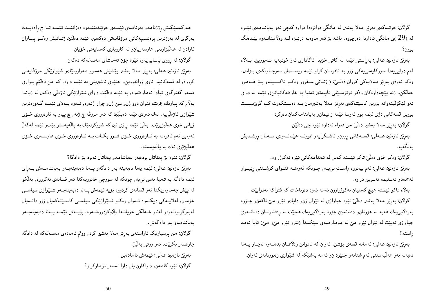گولان: خوتبهکهی بهریز مهلا بهشیر له مانگی دوانزهدا دراوه کهچی ئهو بهپاننامهی ئینــوه له (29 )ي مانگې ئاداردا دەرچووە, باشە بۆ ئەو ماوەيە درنپـۋە لــه وەلامدانــەوە بېيْــدەنگ سوون؟

بەرێز نازەنین عەلى: بەراستىي ئێمە لە كاتىي خۆيدا ئاگادارى ئەو خوتبەيە نــەبووين, بــەلاّم لهم دوایپییدا سووکایهتی یهکی زوّر به ئافرهتان کراو ئیّمه ویستمان سهرچاوهکهی بـزانین, وهکو ئەوەي بەرێز مەلايەکى کوران دەڭئێ: ( ژنــانى ســفوور وەکــو تاکســينـەو بــۆ ھــەمـوو خەلكىنو ژنە پێچەدارەكان وەكو ئۆتۆمبێلى تايبەتين تەنيا بۆ خاوەنەكانيانن), ئێمە لە دواي ئەو لێکۆلیننەوانە بووین کاسێتەکەی بەرێز مەلا بەشیرمان بــە دەســتکەوت کــە گوێبیســت بووین قسهکانی دژی ئیمه بوو ئهوسا ئیمه زانیمانو بهیاننامهکمان دهرکرد.

گولان: بەرِیْز مەلا بەشیر دەلْیْ من فتوام نەداوە ئیْدِه چی دەلْیْن.

بەرتیز نازەنین عــهلی: قســهکانـی روونو ئاشــکرایـهو نموونــه هیننانــهوهی ســهلمان روشــدیش ىەڭگەىە.

گولان: وەكو خۆي دەلىّى تاكو ئېيستە كەس لە ئەندامەكانى ئېيوە نەكوژراوە.

بەړنیز نازەنین عەلی: ئەم بیانووه ړاست نىيـــە, چــونکە ئـەوەتــە فتــواى کوشــتنـى ړتيبــوار ئەحمەدو تەسليمە نەسرين دراوە.

بهلام تاکو ئیسته هیچ کهسیان نهکوژراوون ئهمه ئهوه دهرناخات که فتواکه نهدرابیت. گولان: بهرنیز مهلا بهشیر دهلْیٌ ئَیْوه جیاوازی له نَیْوان ژنو دایلءو نَیْرو میْ ناکهنو جـوّره بەرەلايىيەك ھەيە لە ھزرتانو دەتانەوێ جۆرە بەرەلايىيەك ھەبيىت لە رەفتارتــان دەتانــەوێ جیاوازی نهبیت له نیوان نیرو میْ له مومارهسهی سیْکسدا (نیرو نیر, میْرو میْ) ئایا ئهمه راسته؟

بهږیز نازەنین عـهلی: ئـهمانـه قسـهی بۆشن, ئـهوان کـه ناتـوانن وهلاممـان بدهنــهوه ناچـار پــهنا دهبهنه بەر هەلىبەستنىي ئەم شتانەو جنێودانو ئەمە بەشێکە لە شێوازى زەبوونانەي ئەوان.

هەركەسپكيش رۆژنامەو بەرنامەي ئېممەي خوپندىيتتەوە دەزانپت ئېممە تاچ رادەيمەك بەرگرى لە بەرزترىين يرەنسىييەكانى مرۆڤاپەتى دەكەين, ئێمە دەلێین ژنــانىش وەكــو ييــاوان ئازادن له هەلىبژاردنى هاوسەريانو لە كاروبارى كەساپەتى خۆيان.

گولان: له ږووی یاسایپیهوه ئیّوه چۆن تهماشای مەسەلەكە دەكەن.

بەرتیز نازەنین عەلى: بەرتیز مەلا بەشیر يینشینلی ھەموو مەوازینینكو شیوازیكی مرۆڤاپەتى کرووه, له قسهکانیدا ناوی زراندووین و جنیوی ناشیرینی به ئیمه داوه, که من دهلیم بواری قسهو گفتوگۆی تیادا نهماوەتەوه, به ئێمه دەڵێت داوای شێوازێکی ئاژەڵی دەکەن لە ژیاندا بهلام که پیاونیك بخرنیته نیموان دوو ژن0و سنی ژنو چوار ژنهوه, ئــهوه بــهلای ئینمــه گــهورهترین شینوازي ئاژەلٽي په, نەك ئەوەي ئېيمە دەيلێين كە ئەو مرۆڨە چ ژنە, چ پياو بە ئارەزووي خىۆي ژبانی خوّی هەلىبژیریت, بەلىّی ئیّمه رازی نین که شووکردنیّك به پالەپەستوْ بیّتو ئیّمه لەگەلّ ئەوەين ئەم ئافرەتە بە ئـارەزووى خـۆى شـوو بكـات بــە ئــارەزووى خـۆى ھاوســەرى خـۆى ھەلىژىرى نەك بە يالەيەستۆ.

گولان: ئىيوە بۆ پەناتان بردەبەر بەياننامەو پەناتان نەبرد بۆ دادگا؟

بهریز نازەنین عەلی: ئیْمە پەنا دەبەينە بەر دادگەو پەنا دەبەينەبەر بەياننامــەش بــەرای ئیْمه دادگه به تەنیا بەس نىيە, چونکە لە سووچى خانوويەکدا ئەو قسانەي نەکرووە, بەلْکو له پینش جەماوەریکدا ئەو قسانەی کردووه بۆیە ئیْمەش پـەنا دەبەينەبـەر شـیْوازی سیاســی خۆمان, لەلاپبەكى ديكبەه ئەوان وەكبو شىيوازىچكى سياسىي كاسىيىتەكەپان زۆر دانىميان لەبەرگرتوەتەوەو لەناو خـەلكىي خۆيانــدا بلاوكردووەتــەوە, بۆيــەش ئێمــە يــەنا دەبەينـەبــەر بەياننامەو بەر دادگەش.

گولان: من پرسیارێکم ئاراستەی بەڕێز مەلا بەشیر کرد, ووتم ئامادەی مەسەلەکە لە دادگە چارەسەر بكريت, ئەو ووتىي بەلْيْ. بەرتىز نازەنىن عەلى: ئىنمەش ئامادەين.

گولان: ئیوه کامهن, داواکارن یان داوا لهسهر تۆمارکراو؟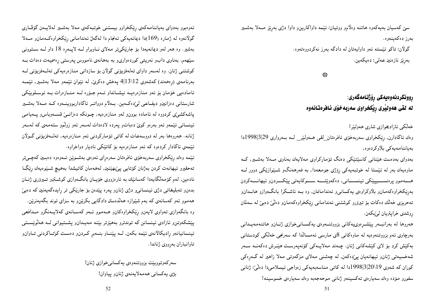سنی کهسیان بهیهکهوه هاتنه وهلامو ووتیان: ئینمه داواکارین و داوا دژی بهرنیز مــهلا بهشــیر ىەرز دەكەينەوە.

> گولان: تاکو ئیسته ئەو داوايەتان لە دادگە بەرز نەکردووەتەوە. بەرىز نازەنىن عەلى: دەيكەين.

> > 永

### **ڕوونکردنهوەيەکى رِۆژنـامەگەرى**: له لقى هەولیْرى رِیْکخراوى سەربەخۆی ئافرەتانەوە

خەلكى ئازادىخوازى شارى ھەولپر!

وەك ئاگادارن, رێكخراوى سەربەخۆى ئافرەتان\_لقى ھــەولێر\_ لــە بــەروارى 29|3|1998دا بەياننامەيەكى بلاوكردەوە,

بەدوای بەدەست ھیننانی کاسپتتیکی دەنگ تۆمارکراوی مەلايەك بەناوی مــەلا بەشــير, كــە ماوهیهك بهر له ئیستا له خوتبهیهكی رۆژی جومعهدا, به فهرههنگو شـینوازیكی دوور لــه هــــهموو برەنســــييێکي ئينســـاني, دەكەوێتــــه ســـوكاپەتي پێکـــردنو ئيھانــــەكردن بەرێکخراوەکەمانو بلاّوکراوەی يەکسانى و ئەندامانمان, وە بــه ئاشــکرا بانگــەوازو ھانــدانو تەحریزی خەلك دەكات بۆ تیرۆرو كوشتنی ئەندامانى ریكخراوەكەمان و دەلىٌ دەبىٌ لە سەلمان روشدى خراپتريان ليٰبكەن.

هەروها له بەرانبــەر پیشــرەوىيەكانى بزووتنـــەوەي يەكســانىخوازى ژنــانو هاتنـەمـەيــدانى بەرچاوى ئەم بزووتنەوەيە لە ماوەكانى 8ى مارسى ئەمسالدا كە سەرنجى خەلكى كودستانى بەكێش كرد بۆ لاى كێشەكانى ژنان. چـەند مەلايــەكى كۆنەپەرسـت ھێــرش دەكەنــە ســەر شەخسیەتی ژنانو ئیھانەیان پیزدەكەن, لە چەشنى مەلای مزگەوتى مەلا زاھیر لە گەرەكى کوران که شەوی 20\20|3|1998دا لە کاتى مناسەبەيەکى زەواجى ئيسلامىدا دەلىّ: ژنانى سفورو مۆدە وەك سەيارەي تەكسىينەو ژنانى موحەجەبە وەك سەيارەي خسوسينە!

ئەوەبوو بەدواي بەياننامەكەي رێكخراوو بيستنى خوتبەكەي مەلا بەشىير لەلايـەن گۆڤـارى گولانموه له ژماره (169)دا دیمانمیهکی ئمنجام دا لهگهاز ئمندامانی ریکخراوهکممانو مــهلا بهشیر. وه همر لهو دیمانهپهدا بۆ جارتکیتر مهلای نـاوبراو لــه لاپــهره 18 داو لــه ســتوونی سپههم, بهناوی دابو نهریتی کوردهواریو به بههانهی نامووس پهرستی رهسمیهت دهدات بـه كوشتنى ژنان. وه لەسەر داواي تەلەفزيۆنى گولان بۆ سازدانى منازەرەيەكى تەلـەفزيۆنى لـە بەرنامەي (رەھەند) كەشەوي 4|13\12 پەخش دەكرى، لە نيوان ئېيمەو مەلا بەشىير, ئېيمـە ئامادەيى خۆمان بۆ ئەو منازەرەيــە نيشـانداو ئــەم جـۆرە لــە منـازەرات بــە ئوسـلوبێكى شارستانی دەزانینرو دیفـاعـی لـیٌدەكــهين. بــهلام دوواتــر ئاگاداربووينـــهوه كــه مـــهلا بـهشــير پاشەكشى، كردووه لە ئامادە بوون ولەو منازەرەيە, چـونكە دەزانــىٰ قســەوباس٫و پــەيامـى ئینسانی ئیّمهو ئهو بهرهو کویّ دهباتو پهرده لادهدات لهسهر ئهو زولّمو ستهمهی که لهسهر ژنانه. هەروەها بەر لە دووسەعات لە كاتى تۆماركردنى ئەو منازەرەيە, تەلـەفزيۆنى گـولان ئینمەی ئاگادار کردەوە کە ئەو منازەرەيە بۆ کاتینکی نادیار دواخراوە.

ئینمه وهك ریكخراوی سەربەخۆی ئافرەتان سەرەرای ئەوەی بەشـویْن ئــەوەوە دەبــین كەچــیتر تەحقيرو ئيھانەت كردن بەژنان كۆتابىي پى،پينينبر لەھەمان كاتيشدا بەھيچ شىيوەيەك رِيْگا نادەين, لەم كۆمەلگايەدا كەسانێك بە ئارەزووى خۆيـان بانگـەوازى كوشــتنو تــيرۆرى ژنــان بدەن وتەبليغاتى دژى ئينسانى ودژى ژنان وپەرە پيدەن بۆ جاريكى تر رايدەگەيەنين كە دەبى ههموو ئهو کهسانهی که بهم شیّنوازه ههلُدهستن دادگایی بکریّن و به سزای توند بگهیهنریّن. وه بانگەوازى تەواوى لايەنو رِيْكخراوەكانو ھــەمـوو ئــەو كەســانەى كەلايــەنگرو مــدافعى پیشکەوتن و ئازادى ئينسانن كە توندترو بەھیزتر بیننە مەيـدان وپشــتيوانى لــە ھەلْویســتى ئينسانيانەو راديكالانەي ئێمه بكەن, لــه پێنــاو بنـــەبر كـردنو دەسـت كوێتـاكردنى تــاوانو تاوانباران بەرووى ژناندا.

> سەركەوتووبێت بزووتنەوەي يەكسانىخوازى ژنان! بژى پەكسانى ھەمەلاپەنەي ژنان ويياوان!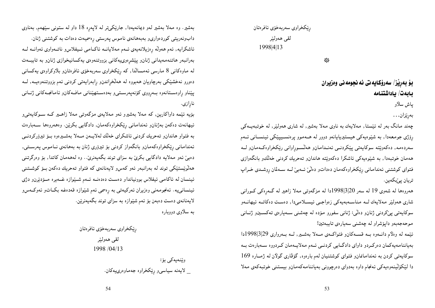رێكخراوي سەربەخۆي ئافرەتان

لقى ھەولپر 1998|4|13

╬

بِوْ بِهريْز/ سِهروْكايِه تي ئه نجومه ني وِهزيران بابەت/ ياداشتنامە

ياش سلاو

بەرێزان…

چەند مانگ بەر لە ئېستا, مەلايەك بە ناوى مەلا بەشپر, لە شارى ھەولپېر, لە خوتبەيــەكى رۆژې جومعەدا, بە شێوەيەكى ھيستيريايانەو دوور لە ھــەمـوو يرەنســيييێكى ئينســانى ئــەم سەردەمە, دەكەوپتە سوكايەتى پيكردنـى ئەنـدامانو ھەلسـوراوانى ريكخراوەكـەمانو لــە ههمان خوتبهدا, به شیّوهیهکی ئاشکرا دهکهویّته هاندانو تهحریك کردنی خهالكو بانگهوازی فتواي كوشتني ئەندامانى ريكخراوهكەمان دەداتو دەلىّ ئەبىّ لـه سـەلمان روشـدى خـراپ تريان يې بكەين.

هەروەها له شەوى 19 له سەر 20|3|1998دا له مزگەوتى مەلا زاهير له گەرەكى كـورانى شاری هەولپر مەلايەك لــه مناســەبەيەكى زەواجــى ئيســلامـىدا, دەسـت دەكاتــە ئيھانــەو سوكايەتىي يېڭردنىي ژنانو دەلىي: ژنانىي سفورو مۆدە لە چەشنىي ســەيارەي تـەكســينو ژنــانـي موحەجەبەو دايۆشراو لە چەشنى سەپارەي تايبەتين!

ئیّمه له وهلاّم دانــهوه بــه قســـهکانو فتواکــهی مـــهلا بهشــیر, لــه بــهرواری 29|3|998|دا بەياننامەيەكمان دەركىردو داواي دادگـايى كردنـى ئـەم مەلايـەمان كـردووه سـەبارەت بـە سوكايەتى كردن بە ئەندامانمانار فتواى كوشتنيان لەم بارەوە, گۆڤارى گولان لە ژمـارە 169 دا لیکوّلینهوهیهکی ئهنجام داوه بهدوای دهرچوونی بهیاننامهکهمان وبیستنی خوتبهکهی مهلا

بهشیر. وه مهلا بهشیر لهو دیمانهیهدا, جاریکمیتر له لایهره 18 داو له ستونبی سینههم, بهناوی دابوندریتی کوردهواریو بهبههانهی ناموس پهرستی رهسمیهت دهدات به کوشتنی ژنان. ئاشكرايه, ئەم ھەولە رەزيلانەيەي ئىەم مەلايانىە ئاكىامى ئىيفلاس وناتىەواوى ئەوانىە لىە بەرانبەر ھاتنەمەيدانى ژنان ويېشرەوي ەكانى بزووتنەوەي يەكسانيخوازى ژنان وبە تايبىەت له ماوهکانی 8 مارسی ئەمسالدا, کە رێکخراوی سەربەخۆی ئافرەتان٫ بلاّوکراوەی يەکسانی دەورو نەخشێكى بەرچاويان ھەبووە لە ھەلخراندنو رابەرابيەتى كردنى ئەم بزووتنەوەيــە, لــە پینناو راوەســتانەوە بــەرووى كۆنەپەرســتىو بەدەســتهیننانى مافــەكانو ئامانجــەكانى ژنــانى نارازي.

بۆیه ئیْمه داواکارین, که مەلا بەشیرو ئەو مەلايەی مزگەوتی مەلا زاھـیر کــه ســوکایـەتـیو ئیهانەت دەكەن بەژنانو ئەندامانى رێكخراوەكەمان, دادگایی بكرێن. وەھەروەھا سـەبارەت به فتواو هاندان وتەحربك كردنى ئاشكراي خەلك لەلايــەن مـــەلا بەشــيرەوە بــۆ تيرۆركردنــي ئەندامانىي رێكخراوەكەمانو بانگەواز كردنىي بۆ تيرۆرى ژنان بە بەھانەي نــامـوس پـەرســتىي, دهبین ئەو مەلايە دادگايبى بكرى بە سزاى توند بگەيەنرىٰ.. وە لەھەمان كاتدا, بۆ وەرگرتنى هەلَویستیکی توند له بەرانبەر ئەو کەس٫ لايەنانەی کە فتواو تەحریك دەکەن بىۆ كوشىتنى ئینسان له ئاکامی ئیفلاس بوونیانداو دهست دهدهنـه ئـهم شــێوازه غــهیره مــۆدێرنو دژی ئینسانی۵په. ئەنجومەنىي وەزىران ئەركيەتىي بە رەسمى ئەم شێوازە قەدەغە بكــاتو ئەوكــەسو لایهنانهی دهست دهبهن بۆ ئـهم شیْموازه بـه سزای تـوند بگـهیـهنریین.

به سلاوي دووباره

رێكخراوي سەربەخۆي ئافرەتان لقى ھەولپر 1998 /04/13

> وێنەپەكى بۆ: \_ لايەنە سياسىو رێكخراوە جەماوەرىيەكان.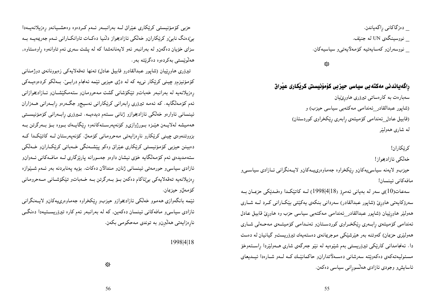\_ دەزگاكانى راگەياندن. \_ نووسینگەی UN لە جنێف. نووسەران٫ كەساپەتيە كۆمەلاپەتى٫ سياسيەكان.

₩

راگەياندنى مەكتەبى سياسى حيزبى كۆمۆنيستى كريكارى عيراق

سەبارەت بە كارەساتىي تيرۆرى ھاورىيان (شاپور عبدالقادر\_ئەندامى مەكتەبى سياسى حيزب) و (قابیل عادل ئەندامى كۆمپتەي رابەرى ريكخراوى كوردستان) له شاري هەولىنر

کرٽکاران!

خەلكى ئازادىخواز!

حیزبو لایەنە سیاسے پەكان وریكخراوه جەماوەرىپـەكانو لايـەنگرانى ئــازادى سیاســى و مافەكانى ئېنسان!

سەعات(10)ى سەر لە بەيانى ئەمرۆ (18|4|1998) لــە كاتێكـدا وەڧـدێكى حزبــان بــە سەرۆكاپەتى ھاورىٰ (شاپور عبدالقادر) سەردانى بنكەي پەكێتى بێكـارانى كـرد لــە شــارى هەولیر هاورییان (شاپور عبدالقادر\_ئەندامی مەکتەبی سیاسی حزب وە هاوریٰ قابیل عادل ئەندامى كۆميتەي رابـەرى رێكخـراوى كوردسـتانو ئەنـدامى كۆميتـەي مەحـەلى شـارى همولیری حزبمان) کهوتنه بهر هیرشیکی موجریمانهی دهستهیهك تیروریستو گیانیان له دهست دا. ئەنجامدانى كارتكى تېرۆريستى بەم شێوەيە لە نێو جەرگەي شارى ھـﻪولێردا راســتەوخۆ مسئولیەتەكەي دەكەوپتە سەرشانى دەســەلأتداران٫ حاكمانپنـك كــە لــەو شــارەدا ئىبــدىعاي ئاسايش و وجودي ئازادي هەلىسورانى سياسى دەكەن.

حزبي كۆمۆنيستى كريكارى عيراق لــه بەرانبــەر ئــهم كــردەوه وەحشــيانەو رەزيلانەيــەدا بې دهنگ نابې و کریکارانو خەلکى ئازادېخواز دلنيا دەكـات تاوانكــارانى ئــهم جەريمەيــە بــه سزای خۆپان دهگەن وله بەرانبەر ئەو لايەنانەشدا كە لە يشت سەرى ئەم تاوانەوە راوەستاوە, هەلۈئستى بەكردەۋە دەگرئتە بەر.

تيرۆرى ھاورپيان (شايور عبدالقادرو قابيل عادل) تەنھا تەقەلاپەكى زەبوونانەي دوژمنانى کۆمۆنیزمو چینی کریکار نی یه که له دژی حیزبی ئیْمه ئهنجام درابــیْ. بــهڵکو کردهوهیــهکی رەزیلانەیە لە بەرانبەر خەباتو تێکۆشانى گشت مەحرومانو ستەمكێشـانو ئــازادىخوازانى ئەم كۆمەلگايە. كە ئەمە تيرۆرى رابەرانى كرێكارانى نەسيجو جگەرەو رابـەرانى ھــەزاران ئینسانی ئاوارەو خەلكى ئازاديخوازو ژنانى سىتەم دېدەپــە. تــيرۆرى رابــەرانى كۆمۆنيســتى هەميشە لەلايــەن هێـزە بــورژوازىو كۆنەيەرســتەكانەوە رێگايــەك بــووە بــۆ بــەرگرتن بــە بزووتنەوەي چينى كريكارو نارەزايەتى مەحرومانى كۆمەل. كۆنەپەرستان لـە كاتێكـدا كـە دەبینن حیزبی کۆمۆنیستی کرێکاری عی٘راق وەکو ییٚشــەنگی خــەباتی کرێکــاران٫ خــەلکی ستهمدیدهی ئمم کۆمەلگایە خۆی نیشان داوەو جەسورانە یارێزگاری لــه مافــەکانـی ئــەوان5و ئازادي سياسي و حورمەتى ئېنسانى ژنان ومندالان دەكات. بۆيە يەنابردنە بەر ئــەم شــێوازە رەزيلانەيە تەقەلايەكى بېڭاكام دەكەن بىۆ بىەرگرتن بىە خىەباتو تېكۆشـانى مــەحرومانى كۆمەلڧو حيزېمان.

ئینمه بانگەوازی هەموو خەلکىي ئازادیخوازو حیزبو ریکخراوه جەماوەرىيەكانو لايــەنگرانىي ئازادی سیاسی و مافهکانی ئینسان دەکەین, کە لە بەرانبەر ئەم کارە تیرۆریســتیەدا دەنگــی نارەزاپەتىي ھەلّبرنږ بە توندى مەحكومىي بكەن.

1998|4|18

崇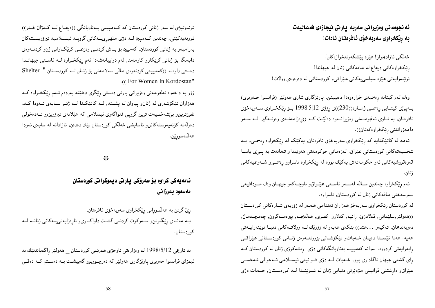ئه نجومه ني وهزيرا ني سهربه يارتي ئيجازهي فهعاليهت به ريْكخراوى سەربەخۆى ئافرەتان نادات!

خەلكى ئازادىخواز! هيزه پيشكەوتنخوازەكان! ریکخراوهکانی دیفاع له مافهکانی ژنان له جیهاندا! نویننمرایهتی هیزه سیاسی یهکانی عیراقی و کوردستانی له دهرهوهی وولات!

وەك لەم كېتابە رِەسمىمى خوارەوەدا دەيببينن, پارێزگارى شارى ھەولێر (فرانسوا حــەرىيرى) بمهینی کیتـابی رِهسمی ژمـاره((230))ی رِوّژی 1998|5|299 بــوّ رِیّکخـراوی ســهربهخوّی ئافرەتان, به نــاوی ئـهنجومـــهنـی وەزىيرانـــهوه دەلێــت کــه ((ڕەزامـهنــدی وەرنــهگیرا لـــه ســـهر دامەزراندنى رێكخراوەكەتان)).

ئـهمـه لـه کاتێکدایـه کـه رِێکخراوی سهربـهخۆی ئـافرەتـان, یـهکێکـه لـه رِێکخراوه رِهسمـیو بــه شخسیەتەكانى كوردستانى عیّراق. لەزەمانى حوكومەتى ھەرپّمداو تەنانەت بە يــێى ياسـا قەرەقووشيەكانى ئەو حكومەتەش يەكێك بووە لە رێكخراوە ناسراوو رەسمى و شــەرعـيەكانى ژنان.

ئەم رِيْكخراوه چەندين ســالْه لەســەر ئاســتى عيْــراقو ناوچــەكەو جيهــان وەك مــودافيعى سەرسەختى مافەكانى ژنان لە كوردستان, ناسراوە.

له کوردستان رِیکخراوی سهربهخوّ ههزاران ئهندامی ههیهو له زوّربهی شـارهکانی کوردســتان ((هەولىيْر,سلىێمانى, قەلادزىن, ڕانيە, كەلارو كفـرى, ھەڭەبجـە, پېرەمــەگرون, چەمچــەمالٌ, دەربەندىخان, تەكيەو ...هتد)) بنكەي ھەيەو لە زۆرێك لــە وولاتــەكانى دنيـا نوێنەرايــەتى ههیه. ههتا ئیّستا دهیان خهباتو تیکوّشانی بزووتنهوهی ژنانی کوردستانی عیّراقعی رِابەرايەتى كردووە. لەوانە كەمپينە بەناوبانگەكانى دژى ڕەشەكوژى ژنان لە كوردستان كــە رای گشتی جیهان ئاگاداری بوو, خــهبات لــه دژی قــوانینی ئیســلامی ئــهحوالی شهخســی عیّراق و دارِشتنی قوانینی مۆدیّرنی دنیایی ژنان له شـویّنیدا لــه کوردسـتان, خــهبات دژی

توندوتیژی له سهر ژنانی کوردستان که کـهمپینی بـهناوبانگی ((دیفـاع لـه کـهژالٌ خـدر)) نموونەيەكێتى, چەندىن كـەميين لــە دژى ملھورىيــەكانى گرويــە ئىســلامىيە تيرۆريســتەكان بەرامبەر بە ژنانى كوردستان, كەمپين بۆ بـاش كردنــى وەزعـــى كرێكــارانى ژنو كردنـــەوەي دایهنگا بۆ ژنانی کریکارو کارمەند, لەم دواپیانەشەدا ئەم ریکخـراوه لــه ئاسـتی جیهانـدا دهستی داوهته ((کهمپینی کردنهوهی مالی سهلامهتی بوّ ژنان لـه کوردستان " Shelter .((For Women In Kordostan"

زوّر به داخهوه ئـهنجومـهنـی وهزیـرانـی پـارتـی دهستـی رِیْکری دهنیێتـه بـهردهم ئــهم رِیْکخــراوه کــه هەزاران تێکۆشەرى لە ژنان وپياوان لە پشــتە, لــە کاتێکـدا لــە ژێـر ســايەى ئــەودا کــەم نفوزترین و بی شهخسیهت ترین گروپی فتواگهری ئیسلامی که هیدلانهی تیروریزم و تــهدهخولی دەولەتە كۆنەپەرستەكانن٫ ئاسايشى خەلكى كوردستان تێك دەدەن, ئازادانە لە سايەي ئەودا هەلدەسورىين.

╬

نامەيەكى كراوە بۆ سەرۆكى پارتى ديموكراتى كوردستان مەسعود بەرزانى

ړێ گرتن به هەلسوړانى ڕێکخراوى سەربەخۆى ئافرەتان, بـه مانـاي رِيْكَـرتن و سـهركوت كردنـي گشـت داواكـاري و نارِهزايهتييـمكاني ژنانــه لــه کوردستان.

به تاریخی 1998/5/12 له وهزارهتی ناوخوّی ههریمی کوردستان \_ ههولیْر رِاگهیاندنیْك به ئیمزای فرانسوا حەربیری پارێزگاری هەولێر کە دەرچـووبوو گەييشــت بــه دەســتم کــه دەقــی